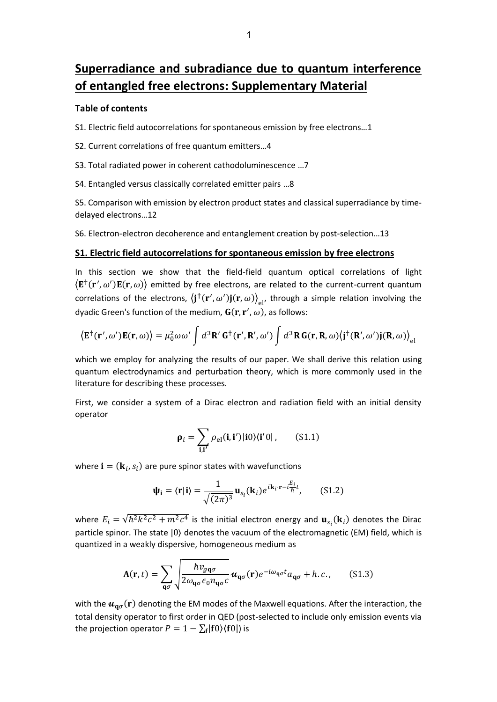# **Superradiance and subradiance due to quantum interference of entangled free electrons: Supplementary Material**

#### **Table of contents**

S1. Electric field autocorrelations for spontaneous emission by free electrons…1

- S2. Current correlations of free quantum emitters…4
- S3. Total radiated power in coherent cathodoluminescence …7
- S4. Entangled versus classically correlated emitter pairs …8

S5. Comparison with emission by electron product states and classical superradiance by timedelayed electrons…12

S6. Electron-electron decoherence and entanglement creation by post-selection…13

#### **S1. Electric field autocorrelations for spontaneous emission by free electrons**

In this section we show that the field-field quantum optical correlations of light  $\langle E^{\dagger}(\mathbf{r}', \omega')E(\mathbf{r}, \omega) \rangle$  emitted by free electrons, are related to the current-current quantum correlations of the electrons,  $\langle j^{\dagger}(\mathbf{r}', \omega')j(\mathbf{r}, \omega)\rangle_{el'}$  through a simple relation involving the dyadic Green's function of the medium,  $G(r, r', \omega)$ , as follows:

$$
\langle \mathbf{E}^{\dagger}(\mathbf{r}', \omega') \mathbf{E}(\mathbf{r}, \omega) \rangle = \mu_0^2 \omega \omega' \int d^3 \mathbf{R}' \mathbf{G}^{\dagger}(\mathbf{r}', \mathbf{R}', \omega') \int d^3 \mathbf{R} \mathbf{G}(\mathbf{r}, \mathbf{R}, \omega) \langle \mathbf{j}^{\dagger}(\mathbf{R}', \omega') \mathbf{j}(\mathbf{R}, \omega) \rangle_{\text{el}}
$$

which we employ for analyzing the results of our paper. We shall derive this relation using quantum electrodynamics and perturbation theory, which is more commonly used in the literature for describing these processes.

First, we consider a system of a Dirac electron and radiation field with an initial density operator

$$
\rho_i = \sum_{\mathbf{i}, \mathbf{i}'} \rho_{\rm el}(\mathbf{i}, \mathbf{i}') |\mathbf{i} 0\rangle \langle \mathbf{i}' 0|, \qquad (S1.1)
$$

where  $\mathbf{i} = (\mathbf{k}_i, s_i)$  are pure spinor states with wavefunctions

$$
\Psi_{\mathbf{i}} = \langle \mathbf{r} | \mathbf{i} \rangle = \frac{1}{\sqrt{(2\pi)^3}} \mathbf{u}_{s_i}(\mathbf{k}_i) e^{i\mathbf{k}_i \cdot \mathbf{r} - i\frac{E_i}{\hbar}t}, \quad (S1.2)
$$

where  $E_i = \sqrt{\hbar^2 k^2 c^2 + m^2 c^4}$  is the initial electron energy and  $\mathbf{u}_{s_i}(\mathbf{k}_i)$  denotes the Dirac particle spinor. The state  $|0\rangle$  denotes the vacuum of the electromagnetic (EM) field, which is quantized in a weakly dispersive, homogeneous medium as

$$
\mathbf{A}(\mathbf{r},t) = \sum_{\mathbf{q}\sigma} \sqrt{\frac{\hbar v_{g\mathbf{q}\sigma}}{2\omega_{\mathbf{q}\sigma}\epsilon_0 n_{\mathbf{q}\sigma}c}} \mathbf{u}_{\mathbf{q}\sigma}(\mathbf{r}) e^{-i\omega_{\mathbf{q}\sigma}t} a_{\mathbf{q}\sigma} + h.c., \quad (S1.3)
$$

with the  $u_{\mathfrak{q}\sigma}(\mathbf{r})$  denoting the EM modes of the Maxwell equations. After the interaction, the total density operator to first order in QED (post-selected to include only emission events via the projection operator  $P=1-\sum_{\bf f} |{\bf f} 0 \rangle \langle {\bf f} 0|$  is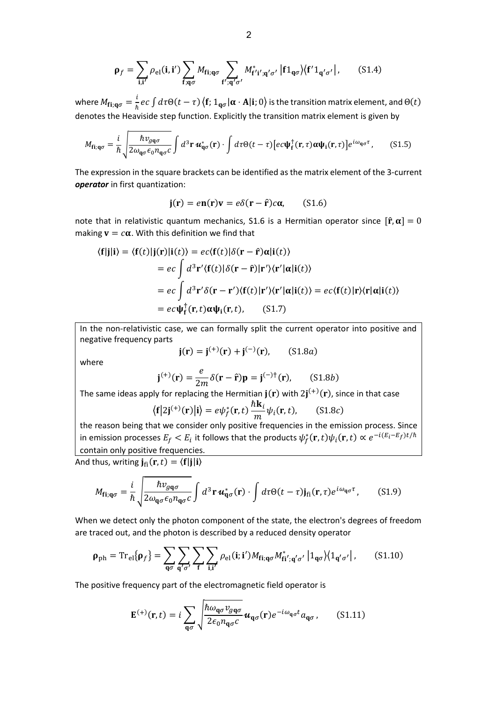$$
\rho_f = \sum_{\mathbf{i},\mathbf{i}'} \rho_{\rm el}(\mathbf{i},\mathbf{i}') \sum_{\mathbf{f};\mathbf{q}\sigma} M_{\mathbf{fi};\mathbf{q}\sigma} \sum_{\mathbf{f'};\mathbf{q'}\sigma'} M_{\mathbf{f'}\mathbf{i'};\mathbf{q'}\sigma'}^* | \mathbf{f} 1_{\mathbf{q}\sigma} \rangle \langle \mathbf{f'} 1_{\mathbf{q'}\sigma'} | , \qquad (S1.4)
$$

where  $M_{\mathbf{f}\mathbf{i};\mathbf{q}\sigma} = \frac{i}{\hbar}$  $\frac{1}{\hbar}$ e $c\int d\tau \Theta(t-\tau)$   $\left\langle \mathbf{f};1_{\mathbf{q}\sigma}|\boldsymbol{\alpha}\cdot\mathbf{A}|\mathbf{i};0\right\rangle$  is the transition matrix element, and  $\Theta(t)$ denotes the Heaviside step function. Explicitly the transition matrix element is given by

$$
M_{\mathbf{fi};\mathbf{q}\sigma} = \frac{i}{\hbar} \sqrt{\frac{\hbar v_{g\mathbf{q}\sigma}}{2\omega_{\mathbf{q}\sigma}\epsilon_0 n_{\mathbf{q}\sigma}c}} \int d^3 \mathbf{r} \, \boldsymbol{u}_{\mathbf{q}\sigma}^* (\mathbf{r}) \cdot \int d\tau \Theta(t-\tau) \big[ ec \boldsymbol{\psi}_{\mathbf{f}}^\dagger(\mathbf{r},\tau) \boldsymbol{\alpha} \boldsymbol{\psi}_{\mathbf{i}}(\mathbf{r},\tau) \big] e^{i\omega_{\mathbf{q}\sigma} \tau}, \qquad (S1.5)
$$

The expression in the square brackets can be identified as the matrix element of the 3-current *operator* in first quantization:

$$
\mathbf{j}(\mathbf{r}) = e\mathbf{n}(\mathbf{r})\mathbf{v} = e\delta(\mathbf{r} - \hat{\mathbf{r}})c\alpha, \quad (S1.6)
$$

note that in relativistic quantum mechanics, S1.6 is a Hermitian operator since  $[\hat{r}, \alpha] = 0$ making  $v = c\alpha$ . With this definition we find that

$$
\langle \mathbf{f} | \mathbf{j} | \mathbf{i} \rangle = \langle \mathbf{f}(t) | \mathbf{j}(\mathbf{r}) | \mathbf{i}(t) \rangle = ec \langle \mathbf{f}(t) | \delta(\mathbf{r} - \hat{\mathbf{r}}) \alpha | \mathbf{i}(t) \rangle
$$
  
\n
$$
= ec \int d^3 \mathbf{r}' \langle \mathbf{f}(t) | \delta(\mathbf{r} - \hat{\mathbf{r}}) | \mathbf{r}' \rangle \langle \mathbf{r}' | \alpha | \mathbf{i}(t) \rangle
$$
  
\n
$$
= ec \int d^3 \mathbf{r}' \delta(\mathbf{r} - \mathbf{r}') \langle \mathbf{f}(t) | \mathbf{r}' \rangle \langle \mathbf{r}' | \alpha | \mathbf{i}(t) \rangle = ec \langle \mathbf{f}(t) | \mathbf{r} \rangle \langle \mathbf{r} | \alpha | \mathbf{i}(t) \rangle
$$
  
\n
$$
= ec \psi_{\mathbf{f}}^{\dagger}(\mathbf{r}, t) \alpha \psi_{\mathbf{i}}(\mathbf{r}, t), \qquad (S1.7)
$$

In the non-relativistic case, we can formally split the current operator into positive and negative frequency parts

$$
j(r) = j^{(+)}(r) + j^{(-)}(r)
$$
, (S1.8*a*)

where

$$
\mathbf{j}^{(+)}(\mathbf{r}) = \frac{e}{2m} \delta(\mathbf{r} - \hat{\mathbf{r}}) \mathbf{p} = \mathbf{j}^{(-)\dagger}(\mathbf{r}), \quad (S1.8b)
$$

The same ideas apply for replacing the Hermitian  ${\bf j}({\bf r})$  with  $2{\bf j}^{(+)}({\bf r})$ , since in that case

$$
\langle \mathbf{f} | 2\mathbf{j}^{(+)}(\mathbf{r}) | \mathbf{i} \rangle = e \psi_f^*(\mathbf{r}, t) \frac{\hbar \mathbf{k}_i}{m} \psi_i(\mathbf{r}, t), \qquad (S1.8c)
$$

the reason being that we consider only positive frequencies in the emission process. Since in emission processes  $E_f < E_i$  it follows that the products  $\psi_f^*(\mathbf{r},t)\psi_i(\mathbf{r},t)\propto e^{-i(E_i-E_f)t/\hbar}$ contain only positive frequencies.

And thus, writing  $\mathbf{j}_{\text{fi}}(\mathbf{r},t) = \langle \mathbf{f} | \mathbf{j} | \mathbf{i} \rangle$ 

$$
M_{\mathbf{fi};\mathbf{q}\sigma} = \frac{i}{\hbar} \sqrt{\frac{\hbar v_{g\mathbf{q}\sigma}}{2\omega_{\mathbf{q}\sigma}\epsilon_0 n_{\mathbf{q}\sigma}c}} \int d^3 \mathbf{r} \, \mathbf{u}_{\mathbf{q}\sigma}^* (\mathbf{r}) \cdot \int d\tau \Theta(t-\tau) \mathbf{j}_{\rm{fi}}(\mathbf{r},\tau) e^{i\omega_{\mathbf{q}\sigma}\tau}, \qquad (S1.9)
$$

When we detect only the photon component of the state, the electron's degrees of freedom are traced out, and the photon is described by a reduced density operator

$$
\rho_{\rm ph} = \mathrm{Tr}_{\rm el}\{\rho_f\} = \sum_{\mathbf{q}\sigma} \sum_{\mathbf{q}'\sigma'} \sum_{\mathbf{f}} \sum_{\mathbf{i},\mathbf{i}'} \rho_{\rm el}(\mathbf{i}; \mathbf{i}') M_{\mathbf{fi}; \mathbf{q}\sigma} M_{\mathbf{fi}'; \mathbf{q}'\sigma'}^* |1_{\mathbf{q}\sigma} \rangle \langle 1_{\mathbf{q}'\sigma'} | \,, \tag{S1.10}
$$

The positive frequency part of the electromagnetic field operator is

$$
\mathbf{E}^{(+)}(\mathbf{r},t) = i \sum_{\mathbf{q}\sigma} \sqrt{\frac{\hbar \omega_{\mathbf{q}\sigma} v_{g\mathbf{q}\sigma}}{2\epsilon_0 n_{\mathbf{q}\sigma} c}} \mathbf{u}_{\mathbf{q}\sigma}(\mathbf{r}) e^{-i\omega_{\mathbf{q}\sigma} t} a_{\mathbf{q}\sigma},
$$
 (S1.11)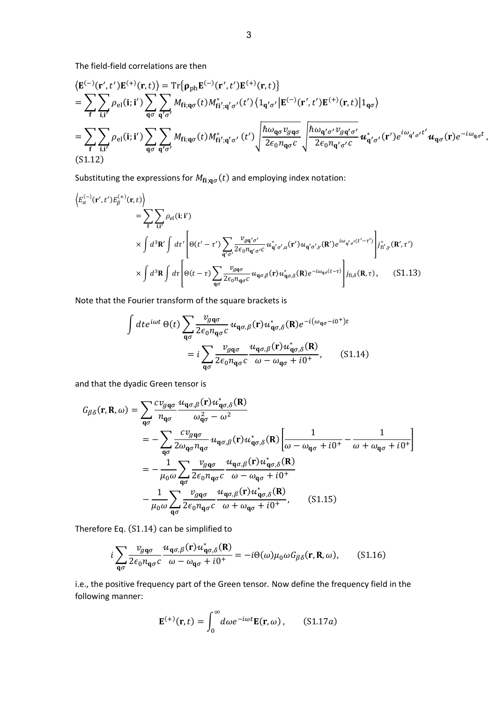The field-field correlations are then

$$
\langle \mathbf{E}^{(-)}(\mathbf{r}',t')\mathbf{E}^{(+)}(\mathbf{r},t)\rangle = \text{Tr}\{\mathbf{\rho}_{\text{ph}}\mathbf{E}^{(-)}(\mathbf{r}',t')\mathbf{E}^{(+)}(\mathbf{r},t)\}
$$
\n
$$
= \sum_{\mathbf{f}} \sum_{\mathbf{i},\mathbf{i}'} \rho_{\text{el}}(\mathbf{i};\mathbf{i}') \sum_{\mathbf{q}\sigma} \sum_{\mathbf{q}'\sigma'} M_{\mathbf{fi};\mathbf{q}\sigma}(t) M_{\mathbf{fi}';\mathbf{q}'\sigma'}^{*}(\mathbf{t}') \langle 1_{\mathbf{q}'\sigma'} | \mathbf{E}^{(-)}(\mathbf{r}',t')\mathbf{E}^{(+)}(\mathbf{r},t) | 1_{\mathbf{q}\sigma} \rangle
$$
\n
$$
= \sum_{\mathbf{f}} \sum_{\mathbf{i},\mathbf{i}'} \rho_{\text{el}}(\mathbf{i};\mathbf{i}') \sum_{\mathbf{q}\sigma} \sum_{\mathbf{q}'\sigma'} M_{\mathbf{fi};\mathbf{q}\sigma}(t) M_{\mathbf{fi}';\mathbf{q}'\sigma'}^{*}(\mathbf{t}') \sqrt{\frac{\hbar \omega_{\mathbf{q}\sigma} v_{g\mathbf{q}\sigma}}{2\epsilon_0 n_{\mathbf{q}\sigma}c}} \sqrt{\frac{\hbar \omega_{\mathbf{q}'\sigma'} v_{g\mathbf{q}'\sigma'}}{2\epsilon_0 n_{\mathbf{q}'\sigma'}c}} \mathbf{u}_{\mathbf{q}''\sigma'}^{*}(\mathbf{r}')e^{i\omega_{\mathbf{q}'\sigma'}t'} \mathbf{u}_{\mathbf{q}\sigma}(\mathbf{r})e^{-i\omega_{\mathbf{q}\sigma}t},
$$
\n(S1.12)

Substituting the expressions for  $M_{f i; q \sigma}(t)$  and employing index notation:

$$
\begin{split}\n\left\langle E_{\alpha}^{(-)}(\mathbf{r}',t')E_{\beta}^{(+)}(\mathbf{r},t)\right\rangle \\
&= \sum_{\mathbf{f}}\sum_{\mathbf{i},\mathbf{i}'}\rho_{\text{el}}(\mathbf{i};\mathbf{i}') \\
\times \int d^{3}\mathbf{R}' \int d\tau' \left[\Theta(t'-\tau')\sum_{\mathbf{q}'\sigma'}\frac{v_{g\mathbf{q}'\sigma'}}{2\epsilon_{0}n_{\mathbf{q}'\sigma'}c}u_{\mathbf{q}'\sigma',\alpha}^{*}(\mathbf{r}')u_{\mathbf{q}'\sigma',\gamma}(\mathbf{R}')e^{i\omega_{\mathbf{q}'\sigma'}(t'-\tau')} \right]j_{\text{fi}',\gamma}^{*}(\mathbf{R}',\tau') \\
\times \int d^{3}\mathbf{R} \int d\tau \left[\Theta(t-\tau)\sum_{\mathbf{q}\sigma}\frac{v_{g\mathbf{q}\sigma}}{2\epsilon_{0}n_{\mathbf{q}\sigma}c}u_{\mathbf{q}\sigma,\beta}(\mathbf{r})u_{\mathbf{q}\sigma,\delta}^{*}(\mathbf{R})e^{-i\omega_{\mathbf{q}\sigma}(t-\tau)}\right]j_{\text{fi},\delta}(\mathbf{R},\tau),\n\end{split} \tag{S1.13}
$$

Note that the Fourier transform of the square brackets is

$$
\int dt e^{i\omega t} \Theta(t) \sum_{\mathbf{q}\sigma} \frac{v_{g\mathbf{q}\sigma}}{2\epsilon_0 n_{\mathbf{q}\sigma} c} u_{\mathbf{q}\sigma,\beta}(\mathbf{r}) u_{\mathbf{q}\sigma,\delta}^*(\mathbf{R}) e^{-i(\omega_{\mathbf{q}\sigma} - i0^+)t}
$$

$$
= i \sum_{\mathbf{q}\sigma} \frac{v_{g\mathbf{q}\sigma}}{2\epsilon_0 n_{\mathbf{q}\sigma} c} \frac{u_{\mathbf{q}\sigma,\beta}(\mathbf{r}) u_{\mathbf{q}\sigma,\delta}^*(\mathbf{R})}{\omega - \omega_{\mathbf{q}\sigma} + i0^+}, \qquad (S1.14)
$$

and that the dyadic Green tensor is

$$
G_{\beta\delta}(\mathbf{r}, \mathbf{R}, \omega) = \sum_{\mathbf{q}\sigma} \frac{c v_{g\mathbf{q}\sigma}}{n_{\mathbf{q}\sigma}} \frac{u_{\mathbf{q}\sigma,\beta}(\mathbf{r}) u_{\mathbf{q}\sigma,\delta}^*(\mathbf{R})}{\omega_{\mathbf{q}\sigma}^2 - \omega^2}
$$
  
\n
$$
= -\sum_{\mathbf{q}\sigma} \frac{c v_{g\mathbf{q}\sigma}}{2 \omega_{\mathbf{q}\sigma} n_{\mathbf{q}\sigma}} u_{\mathbf{q}\sigma,\beta}(\mathbf{r}) u_{\mathbf{q}\sigma,\delta}^*(\mathbf{R}) \left[ \frac{1}{\omega - \omega_{\mathbf{q}\sigma} + i0^+} - \frac{1}{\omega + \omega_{\mathbf{q}\sigma} + i0^+} \right]
$$
  
\n
$$
= -\frac{1}{\mu_0 \omega} \sum_{\mathbf{q}\sigma} \frac{v_{g\mathbf{q}\sigma}}{2\epsilon_0 n_{\mathbf{q}\sigma}c} \frac{u_{\mathbf{q}\sigma,\beta}(\mathbf{r}) u_{\mathbf{q}\sigma,\delta}^*(\mathbf{R})}{\omega - \omega_{\mathbf{q}\sigma} + i0^+}
$$
  
\n
$$
- \frac{1}{\mu_0 \omega} \sum_{\mathbf{q}\sigma} \frac{v_{g\mathbf{q}\sigma}}{2\epsilon_0 n_{\mathbf{q}\sigma}c} \frac{u_{\mathbf{q}\sigma,\beta}(\mathbf{r}) u_{\mathbf{q}\sigma,\delta}^*(\mathbf{R})}{\omega + \omega_{\mathbf{q}\sigma} + i0^+}, \qquad (S1.15)
$$

Therefore Eq. (S1.14) can be simplified to

$$
i\sum_{\mathbf{q}\sigma} \frac{v_{g\mathbf{q}\sigma}}{2\epsilon_0 n_{\mathbf{q}\sigma} c} \frac{u_{\mathbf{q}\sigma,\beta}(\mathbf{r}) u_{\mathbf{q}\sigma,\delta}^*(\mathbf{R})}{\omega - \omega_{\mathbf{q}\sigma} + i0^+} = -i\Theta(\omega)\mu_0 \omega G_{\beta\delta}(\mathbf{r}, \mathbf{R}, \omega), \quad (S1.16)
$$

i.e., the positive frequency part of the Green tensor. Now define the frequency field in the following manner:

$$
\mathbf{E}^{(+)}(\mathbf{r},t) = \int_0^\infty d\omega e^{-i\omega t} \mathbf{E}(\mathbf{r},\omega), \qquad (S1.17a)
$$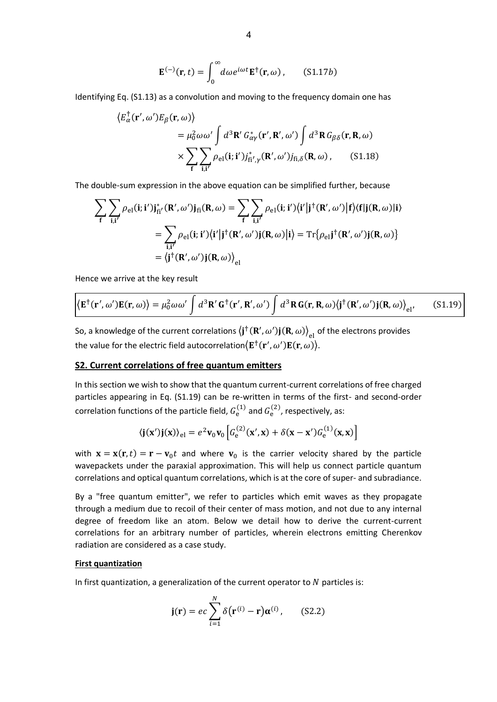$$
\mathbf{E}^{(-)}(\mathbf{r},t) = \int_0^\infty d\omega e^{i\omega t} \mathbf{E}^\dagger(\mathbf{r},\omega), \qquad (S1.17b)
$$

Identifying Eq. (S1.13) as a convolution and moving to the frequency domain one has

$$
\langle E_{\alpha}^{\dagger}(\mathbf{r}', \omega')E_{\beta}(\mathbf{r}, \omega) \rangle
$$
  
=  $\mu_0^2 \omega \omega' \int d^3 \mathbf{R}' G_{\alpha\gamma}^*(\mathbf{r}', \mathbf{R}', \omega') \int d^3 \mathbf{R} G_{\beta\delta}(\mathbf{r}, \mathbf{R}, \omega)$   

$$
\times \sum_{\mathbf{f}} \sum_{\mathbf{i}, \mathbf{i}'} \rho_{\text{el}}(\mathbf{i}; \mathbf{i}') j_{\mathbf{f}\mathbf{i}', \gamma}^*(\mathbf{R}', \omega') j_{\mathbf{f}\mathbf{i}, \delta}(\mathbf{R}, \omega), \qquad (S1.18)
$$

The double-sum expression in the above equation can be simplified further, because

$$
\sum_{f} \sum_{i,i'} \rho_{el}(i;i')j_{fi'}^{*}(R',\omega')j_{fi}(R,\omega) = \sum_{f} \sum_{i,i'} \rho_{el}(i;i')\langle i'|j^{\dagger}(R',\omega')|f\rangle\langle f|j(R,\omega)|i\rangle
$$

$$
= \sum_{i,i'} \rho_{el}(i;i')\langle i'|j^{\dagger}(R',\omega')j(R,\omega)|i\rangle = \text{Tr}\{\rho_{el}j^{\dagger}(R',\omega')j(R,\omega)\}
$$

$$
= \langle j^{\dagger}(R',\omega')j(R,\omega)\rangle_{el}
$$

Hence we arrive at the key result

$$
\langle \mathbf{E}^{\dagger}(\mathbf{r}', \omega') \mathbf{E}(\mathbf{r}, \omega) \rangle = \mu_0^2 \omega \omega' \int d^3 \mathbf{R}' \mathbf{G}^{\dagger}(\mathbf{r}', \mathbf{R}', \omega') \int d^3 \mathbf{R} \mathbf{G}(\mathbf{r}, \mathbf{R}, \omega) \langle \mathbf{j}^{\dagger}(\mathbf{R}', \omega') \mathbf{j}(\mathbf{R}, \omega) \rangle_{\text{el'}} \tag{S1.19}
$$

So, a knowledge of the current correlations  $\big<{\bf j}^\dagger({\bf R}',\omega'){\bf j}({\bf R},\omega)\big>_{\rm el}$  of the electrons provides the value for the electric field autocorrelation $\langle {\bf E}^\dagger({\bf r}', \omega') {\bf E}({\bf r}, \omega) \rangle$ .

## **S2. Current correlations of free quantum emitters**

In this section we wish to show that the quantum current-current correlations of free charged particles appearing in Eq. (S1.19) can be re-written in terms of the first- and second-order correlation functions of the particle field,  $G_{\rm e}^{(1)}$  and  $G_{\rm e}^{(2)}$ , respectively, as:

$$
\langle \mathbf{j}(\mathbf{x}')\mathbf{j}(\mathbf{x})\rangle_{\text{el}} = e^2 \mathbf{v}_0 \mathbf{v}_0 \left[ G_{\text{e}}^{(2)}(\mathbf{x}', \mathbf{x}) + \delta(\mathbf{x} - \mathbf{x}') G_{\text{e}}^{(1)}(\mathbf{x}, \mathbf{x}) \right]
$$

with  ${\bf x} = {\bf x}({\bf r},t) = {\bf r} - {\bf v}_0 t$  and where  ${\bf v}_0$  is the carrier velocity shared by the particle wavepackets under the paraxial approximation. This will help us connect particle quantum correlations and optical quantum correlations, which is at the core of super- and subradiance.

By a "free quantum emitter", we refer to particles which emit waves as they propagate through a medium due to recoil of their center of mass motion, and not due to any internal degree of freedom like an atom. Below we detail how to derive the current-current correlations for an arbitrary number of particles, wherein electrons emitting Cherenkov radiation are considered as a case study.

#### **First quantization**

In first quantization, a generalization of the current operator to  $N$  particles is:

$$
\mathbf{j}(\mathbf{r}) = ec \sum_{i=1}^{N} \delta(\mathbf{r}^{(i)} - \mathbf{r}) \alpha^{(i)}, \qquad (S2.2)
$$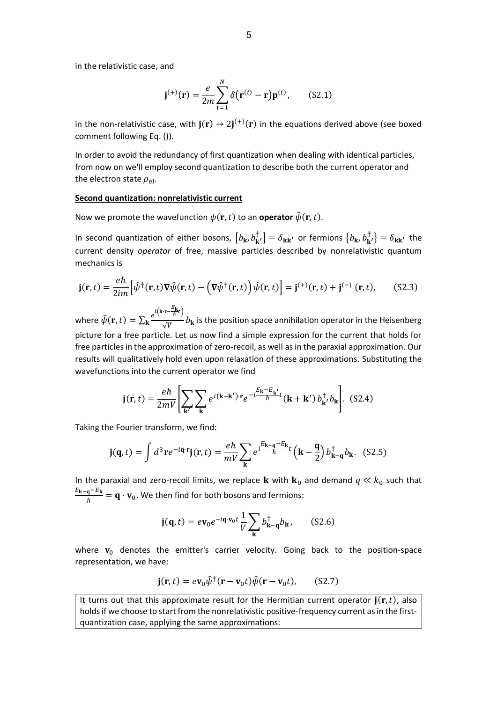in the relativistic case, and

$$
\mathbf{j}^{(+)}(\mathbf{r}) = \frac{e}{2m} \sum_{i=1}^{N} \delta(\mathbf{r}^{(i)} - \mathbf{r}) \mathbf{p}^{(i)}, \quad (S2.1)
$$

in the non-relativistic case, with  $\mathbf{j}(\mathbf{r}) \to 2\mathbf{j}^{(+)}(\mathbf{r})$  in the equations derived above (see boxed comment following Eq. ()).

In order to avoid the redundancy of first quantization when dealing with identical particles, from now on we'll employ second quantization to describe both the current operator and the electron state  $\rho_{el}$ .

#### **Second quantization: nonrelativistic current**

Now we promote the wavefunction  $\psi(\mathbf{r},t)$  to an **operator**  $\hat{\psi}(\mathbf{r},t)$ .

In second quantization of either bosons,  $[b_k, b_{k'}^{\dagger}] = \delta_{kk'}$  or fermions  $\{b_k, b_{k'}^{\dagger}\} = \delta_{kk'}$  the current density *operator* of free, massive particles described by nonrelativistic quantum mechanics is

$$
\mathbf{j}(\mathbf{r},t) = \frac{e\hbar}{2im} \Big[ \hat{\psi}^{\dagger}(\mathbf{r},t) \nabla \hat{\psi}(\mathbf{r},t) - \left( \nabla \hat{\psi}^{\dagger}(\mathbf{r},t) \right) \hat{\psi}(\mathbf{r},t) \Big] = \mathbf{j}^{(+)}(\mathbf{r},t) + \mathbf{j}^{(-)}(\mathbf{r},t), \quad (S2.3)
$$

where  $\hat{\psi}(\mathbf{r},t) = \sum_{\mathbf{k}} \frac{e^{i\left(\mathbf{k}\cdot\mathbf{r} - \frac{E_{\mathbf{k}}}{\hbar}t\right)}}{\sqrt{\kappa}}$  $\kappa \frac{e^{i\omega} - \omega}{\sqrt{V}}$  is the position space annihilation operator in the Heisenberg picture for a free particle. Let us now find a simple expression for the current that holds for free particles in the approximation of zero-recoil, as well as in the paraxial approximation. Our results will qualitatively hold even upon relaxation of these approximations. Substituting the wavefunctions into the current operator we find

$$
\mathbf{j}(\mathbf{r},t) = \frac{e\hbar}{2mV} \left[ \sum_{\mathbf{k'}} \sum_{\mathbf{k}} e^{i(\mathbf{k}-\mathbf{k'}) \cdot \mathbf{r}} e^{-i\frac{E_{\mathbf{k}} - E_{\mathbf{k'}}}{\hbar} t} (\mathbf{k} + \mathbf{k'}) b_{\mathbf{k'}}^{\dagger} b_{\mathbf{k}} \right].
$$
 (S2.4)

Taking the Fourier transform, we find:

$$
\mathbf{j}(\mathbf{q},t) = \int d^3 \mathbf{r} e^{-i\mathbf{q} \cdot \mathbf{r}} \mathbf{j}(\mathbf{r},t) = \frac{e\hbar}{mV} \sum_{\mathbf{k}} e^{i\frac{E_{\mathbf{k}-\mathbf{q}} - E_{\mathbf{k}}}{\hbar}} \left( \mathbf{k} - \frac{\mathbf{q}}{2} \right) b_{\mathbf{k}-\mathbf{q}}^{\dagger} b_{\mathbf{k}}. \quad (S2.5)
$$

In the paraxial and zero-recoil limits, we replace **k** with  $\mathbf{k}_0$  and demand  $q \ll k_0$  such that  $E_{\mathbf{k}-\mathbf{q}}-E_{\mathbf{k}}$  $\frac{q-\mu}{\hbar} = q \cdot v_0$ . We then find for both bosons and fermions:

$$
\mathbf{j}(\mathbf{q},t) = e\mathbf{v}_0 e^{-i\mathbf{q}\cdot\mathbf{v}_0 t} \frac{1}{V} \sum_{\mathbf{k}} b_{\mathbf{k}-\mathbf{q}}^\dagger b_{\mathbf{k}}, \qquad (S2.6)
$$

where  $\mathbf{v}_0$  denotes the emitter's carrier velocity. Going back to the position-space representation, we have:

$$
\mathbf{j}(\mathbf{r},t) = e\mathbf{v}_0 \hat{\psi}^\dagger(\mathbf{r}-\mathbf{v}_0 t)\hat{\psi}(\mathbf{r}-\mathbf{v}_0 t), \qquad (S2.7)
$$

It turns out that this approximate result for the Hermitian current operator  $\mathbf{j}(\mathbf{r},t)$ , also holds if we choose to start from the nonrelativistic positive-frequency current as in the firstquantization case, applying the same approximations: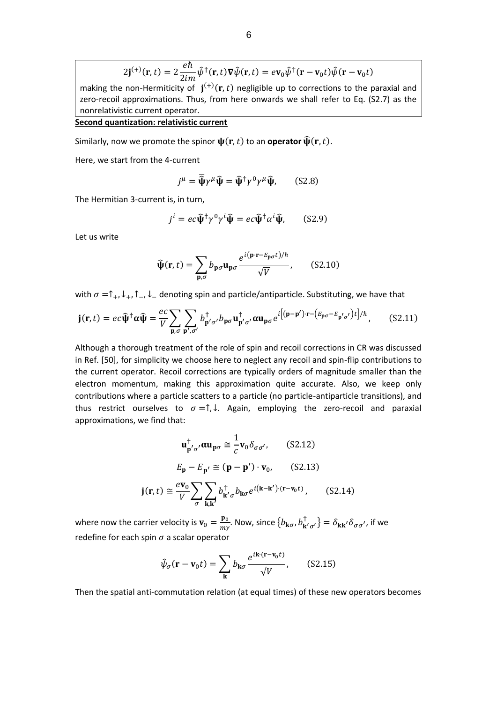$$
2\mathbf{j}^{(+)}(\mathbf{r},t) = 2\frac{e\hbar}{2im}\hat{\psi}^{\dagger}(\mathbf{r},t)\nabla\hat{\psi}(\mathbf{r},t) = ev_0\hat{\psi}^{\dagger}(\mathbf{r}-\mathbf{v}_0t)\hat{\psi}(\mathbf{r}-\mathbf{v}_0t)
$$

making the non-Hermiticity of  $j^{(+)}(r,t)$  negligible up to corrections to the paraxial and zero-recoil approximations. Thus, from here onwards we shall refer to Eq. (S2.7) as the nonrelativistic current operator.

# **Second quantization: relativistic current**

Similarly, now we promote the spinor  $\psi(\mathbf{r},t)$  to an **operator**  $\hat{\psi}(\mathbf{r},t)$ .

Here, we start from the 4-current

$$
j^{\mu} = \overline{\hat{\psi}} \gamma^{\mu} \hat{\psi} = \hat{\psi}^{\dagger} \gamma^{0} \gamma^{\mu} \hat{\psi}, \qquad (S2.8)
$$

The Hermitian 3-current is, in turn,

$$
j^{i} = ec\widehat{\Psi}^{\dagger}\gamma^{0}\gamma^{i}\widehat{\Psi} = ec\widehat{\Psi}^{\dagger}\alpha^{i}\widehat{\Psi}, \qquad (S2.9)
$$

Let us write

$$
\widehat{\Psi}(\mathbf{r},t) = \sum_{\mathbf{p},\sigma} b_{\mathbf{p}\sigma} \mathbf{u}_{\mathbf{p}\sigma} \frac{e^{i(\mathbf{p}\cdot\mathbf{r}-E_{\mathbf{p}\sigma}t)/\hbar}}{\sqrt{V}},\qquad(S2.10)
$$

with  $\sigma = \uparrow_+$ ,  $\downarrow_+$ ,  $\uparrow_-$ ,  $\downarrow_-$  denoting spin and particle/antiparticle. Substituting, we have that

$$
\mathbf{j}(\mathbf{r},t) = ec\widehat{\mathbf{\Psi}}^{\dagger}\alpha\widehat{\mathbf{\Psi}} = \frac{ec}{V} \sum_{\mathbf{p},\sigma} \sum_{\mathbf{p}',\sigma'} b_{\mathbf{p}',\sigma'}^{\dagger} b_{\mathbf{p}\sigma} \mathbf{u}_{\mathbf{p}'\sigma'}^{\dagger} \alpha \mathbf{u}_{\mathbf{p}\sigma} e^{i[(\mathbf{p}-\mathbf{p}')\cdot\mathbf{r} - (E_{\mathbf{p}\sigma}-E_{\mathbf{p}'\sigma'})t] / \hbar}, \quad (S2.11)
$$

Although a thorough treatment of the role of spin and recoil corrections in CR was discussed in Ref. [50], for simplicity we choose here to neglect any recoil and spin-flip contributions to the current operator. Recoil corrections are typically orders of magnitude smaller than the electron momentum, making this approximation quite accurate. Also, we keep only contributions where a particle scatters to a particle (no particle-antiparticle transitions), and thus restrict ourselves to  $\sigma = \uparrow, \downarrow$ . Again, employing the zero-recoil and paraxial approximations, we find that:

$$
\mathbf{u}_{\mathbf{p}'\sigma'}^{\dagger} \alpha \mathbf{u}_{\mathbf{p}\sigma} \cong \frac{1}{c} \mathbf{v}_0 \delta_{\sigma \sigma'}, \qquad \text{(S2.12)}
$$

$$
E_{\mathbf{p}} - E_{\mathbf{p}'} \cong (\mathbf{p} - \mathbf{p}') \cdot \mathbf{v}_0, \qquad \text{(S2.13)}
$$

$$
\mathbf{j}(\mathbf{r}, t) \cong \frac{e \mathbf{v}_0}{V} \sum_{\sigma} \sum_{\mathbf{k}, \mathbf{k}'} b_{\mathbf{k}'\sigma}^{\dagger} b_{\mathbf{k}\sigma} e^{i(\mathbf{k} - \mathbf{k}') \cdot (\mathbf{r} - \mathbf{v}_0 t)}, \qquad \text{(S2.14)}
$$

where now the carrier velocity is  $v_0 = \frac{p_0}{m_1}$  $\frac{\mathbf{p}_0}{m\gamma}$ . Now, since  $\{b_{\mathbf{k}\sigma},b_{\mathbf{k}'\sigma'}^{\dagger}\}=\delta_{\mathbf{k}\mathbf{k}'}\delta_{\sigma\sigma'}$ , if we redefine for each spin  $\sigma$  a scalar operator

$$
\hat{\psi}_{\sigma}(\mathbf{r} - \mathbf{v}_0 t) = \sum_{\mathbf{k}} b_{\mathbf{k}\sigma} \frac{e^{i\mathbf{k} \cdot (\mathbf{r} - \mathbf{v}_0 t)}}{\sqrt{V}}, \quad (S2.15)
$$

Then the spatial anti-commutation relation (at equal times) of these new operators becomes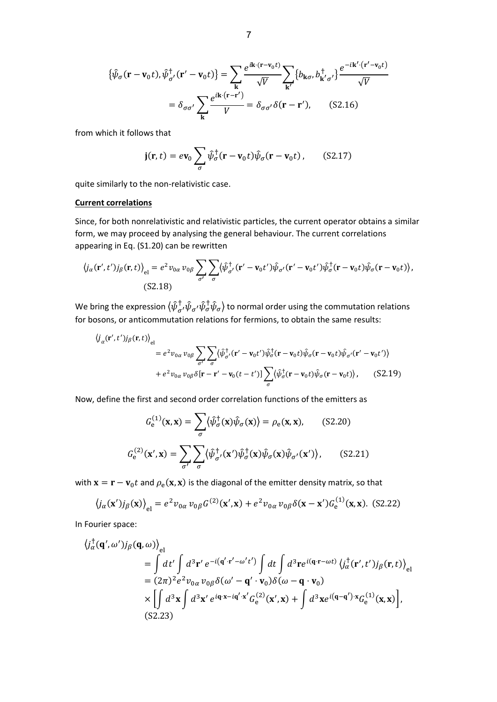$$
\{\hat{\psi}_{\sigma}(\mathbf{r} - \mathbf{v}_{0}t), \hat{\psi}_{\sigma'}^{\dagger}(\mathbf{r}' - \mathbf{v}_{0}t)\} = \sum_{\mathbf{k}} \frac{e^{i\mathbf{k}\cdot(\mathbf{r} - \mathbf{v}_{0}t)}}{\sqrt{V}} \sum_{\mathbf{k}'} \{b_{\mathbf{k}\sigma}, b_{\mathbf{k}'\sigma'}^{\dagger}\} \frac{e^{-i\mathbf{k}'\cdot(\mathbf{r}' - \mathbf{v}_{0}t)}}{\sqrt{V}}
$$

$$
= \delta_{\sigma\sigma'} \sum_{\mathbf{k}} \frac{e^{i\mathbf{k}\cdot(\mathbf{r} - \mathbf{r}' )}}{V} = \delta_{\sigma\sigma'} \delta(\mathbf{r} - \mathbf{r}'), \quad (S2.16)
$$

from which it follows that

$$
\mathbf{j}(\mathbf{r},t) = e\mathbf{v}_0 \sum_{\sigma} \hat{\psi}_{\sigma}^{\dagger} (\mathbf{r} - \mathbf{v}_0 t) \hat{\psi}_{\sigma} (\mathbf{r} - \mathbf{v}_0 t), \quad (S2.17)
$$

quite similarly to the non-relativistic case.

#### **Current correlations**

Since, for both nonrelativistic and relativistic particles, the current operator obtains a similar form, we may proceed by analysing the general behaviour. The current correlations appearing in Eq. (S1.20) can be rewritten

$$
\langle j_{\alpha}(\mathbf{r}',t')j_{\beta}(\mathbf{r},t)\rangle_{\text{el}} = e^2 \nu_{0\alpha} \nu_{0\beta} \sum_{\sigma'} \sum_{\sigma} \langle \hat{\psi}^{\dagger}_{\sigma'}(\mathbf{r}'-\mathbf{v}_0t')\hat{\psi}_{\sigma'}(\mathbf{r}'-\mathbf{v}_0t')\hat{\psi}^{\dagger}_{\sigma}(\mathbf{r}-\mathbf{v}_0t)\hat{\psi}_{\sigma}(\mathbf{r}-\mathbf{v}_0t)\rangle,
$$
\n(S2.18)

We bring the expression  $\langle \hat{\psi}^{\dagger}_{\sigma'}\hat{\psi}_{\sigma'}\hat{\psi}^{\dagger}_{\sigma}\hat{\psi}_{\sigma}\rangle$  to normal order using the commutation relations for bosons, or anticommutation relations for fermions, to obtain the same results:

$$
\langle j_{\alpha}(\mathbf{r}',t')j_{\beta}(\mathbf{r},t)\rangle_{el}
$$
\n
$$
= e^{2}v_{0\alpha}v_{0\beta}\sum_{\sigma'}\sum_{\sigma}\langle\hat{\psi}_{\sigma'}^{\dagger}(\mathbf{r}'-\mathbf{v}_{0}t')\hat{\psi}_{\sigma}^{\dagger}(\mathbf{r}-\mathbf{v}_{0}t)\hat{\psi}_{\sigma}(\mathbf{r}-\mathbf{v}_{0}t)\hat{\psi}_{\sigma'}(\mathbf{r}'-\mathbf{v}_{0}t')\rangle
$$
\n
$$
+ e^{2}v_{0\alpha}v_{0\beta}\delta[\mathbf{r}-\mathbf{r}'-\mathbf{v}_{0}(t-t')] \sum_{\sigma}\langle\hat{\psi}_{\sigma}^{\dagger}(\mathbf{r}-\mathbf{v}_{0}t)\hat{\psi}_{\sigma}(\mathbf{r}-\mathbf{v}_{0}t)\rangle, \qquad (S2.19)
$$

Now, define the first and second order correlation functions of the emitters as

$$
G_e^{(1)}(\mathbf{x}, \mathbf{x}) = \sum_{\sigma} \langle \hat{\psi}_{\sigma}^{\dagger}(\mathbf{x}) \hat{\psi}_{\sigma}(\mathbf{x}) \rangle = \rho_e(\mathbf{x}, \mathbf{x}), \qquad (S2.20)
$$

$$
G_e^{(2)}(\mathbf{x}', \mathbf{x}) = \sum_{\sigma'} \sum_{\sigma} \langle \hat{\psi}_{\sigma'}^{\dagger}(\mathbf{x}') \hat{\psi}_{\sigma}^{\dagger}(\mathbf{x}) \hat{\psi}_{\sigma'}(\mathbf{x}') \rangle, \qquad (S2.21)
$$

with  ${\bf x}={\bf r}-{\bf v}_0 t$  and  $\rho_{\rm e}({\bf x},{\bf x})$  is the diagonal of the emitter density matrix, so that

$$
\langle j_{\alpha}(\mathbf{x}')j_{\beta}(\mathbf{x}) \rangle_{\text{el}} = e^2 v_{0\alpha} v_{0\beta} G^{(2)}(\mathbf{x}', \mathbf{x}) + e^2 v_{0\alpha} v_{0\beta} \delta(\mathbf{x} - \mathbf{x}') G_{\text{e}}^{(1)}(\mathbf{x}, \mathbf{x}).
$$
 (S2.22)

In Fourier space:

$$
\langle j_{\alpha}^{\dagger}(\mathbf{q}',\omega')j_{\beta}(\mathbf{q},\omega)\rangle_{\text{el}}
$$
\n
$$
= \int dt' \int d^{3}\mathbf{r}' e^{-i(\mathbf{q}'\cdot\mathbf{r}'-\omega't')} \int dt \int d^{3}\mathbf{r} e^{i(\mathbf{q}\cdot\mathbf{r}-\omega t)} \langle j_{\alpha}^{\dagger}(\mathbf{r}',t')j_{\beta}(\mathbf{r},t)\rangle_{\text{el}}
$$
\n
$$
= (2\pi)^{2} e^{2} v_{0\alpha} v_{0\beta} \delta(\omega' - \mathbf{q}' \cdot \mathbf{v}_{0}) \delta(\omega - \mathbf{q} \cdot \mathbf{v}_{0})
$$
\n
$$
\times \left[ \int d^{3}\mathbf{x} \int d^{3}\mathbf{x}' e^{i\mathbf{q}\cdot\mathbf{x}-i\mathbf{q}'\cdot\mathbf{x}'} G_{e}^{(2)}(\mathbf{x}',\mathbf{x}) + \int d^{3}\mathbf{x} e^{i(\mathbf{q}-\mathbf{q}')\cdot\mathbf{x}} G_{e}^{(1)}(\mathbf{x},\mathbf{x}) \right],
$$
\n(S2.23)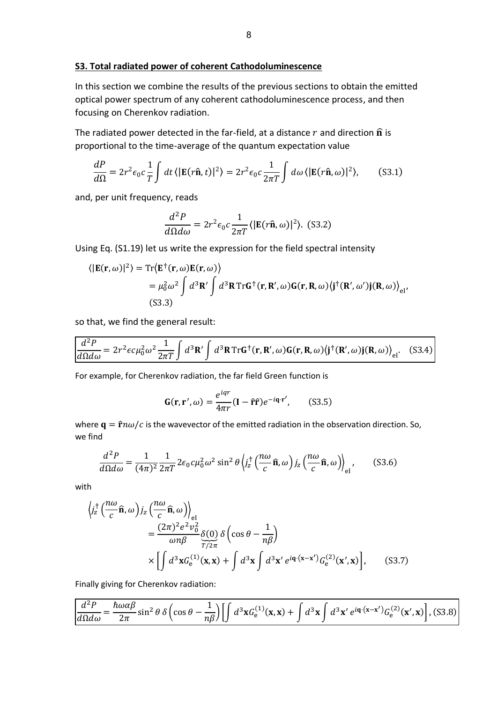In this section we combine the results of the previous sections to obtain the emitted optical power spectrum of any coherent cathodoluminescence process, and then focusing on Cherenkov radiation.

The radiated power detected in the far-field, at a distance  $r$  and direction  $\hat{\mathbf{n}}$  is proportional to the time-average of the quantum expectation value

$$
\frac{dP}{d\Omega} = 2r^2 \epsilon_0 c \frac{1}{T} \int dt \, \langle |\mathbf{E}(r\hat{\mathbf{n}}, t)|^2 \rangle = 2r^2 \epsilon_0 c \frac{1}{2\pi T} \int d\omega \, \langle |\mathbf{E}(r\hat{\mathbf{n}}, \omega)|^2 \rangle, \qquad (S3.1)
$$

and, per unit frequency, reads

$$
\frac{d^2P}{d\Omega d\omega} = 2r^2 \epsilon_0 c \frac{1}{2\pi T} \langle |\mathbf{E}(r\hat{\mathbf{n}}, \omega)|^2 \rangle. \tag{S3.2}
$$

Using Eq. (S1.19) let us write the expression for the field spectral intensity

$$
\langle |\mathbf{E}(\mathbf{r}, \omega)|^2 \rangle = \text{Tr} \langle \mathbf{E}^{\dagger}(\mathbf{r}, \omega) \mathbf{E}(\mathbf{r}, \omega) \rangle
$$
  
=  $\mu_0^2 \omega^2 \int d^3 \mathbf{R}' \int d^3 \mathbf{R} \text{Tr} \mathbf{G}^{\dagger}(\mathbf{r}, \mathbf{R}', \omega) \mathbf{G}(\mathbf{r}, \mathbf{R}, \omega) \langle \mathbf{j}^{\dagger}(\mathbf{R}', \omega') \mathbf{j}(\mathbf{R}, \omega) \rangle_{el'}$   
(S3.3)

so that, we find the general result:

$$
\frac{d^2P}{d\Omega d\omega} = 2r^2 \epsilon c \mu_0^2 \omega^2 \frac{1}{2\pi T} \int d^3 \mathbf{R}' \int d^3 \mathbf{R} \operatorname{Tr} \mathbf{G}^\dagger(\mathbf{r}, \mathbf{R}', \omega) \mathbf{G}(\mathbf{r}, \mathbf{R}, \omega) \langle \mathbf{j}^\dagger(\mathbf{R}', \omega) \mathbf{j}(\mathbf{R}, \omega) \rangle_{\text{el}}.
$$
 (S3.4)

For example, for Cherenkov radiation, the far field Green function is

$$
\mathbf{G}(\mathbf{r}, \mathbf{r}', \omega) = \frac{e^{iqr}}{4\pi r} (\mathbf{I} - \hat{\mathbf{r}} \hat{\mathbf{r}}) e^{-i\mathbf{q} \cdot \mathbf{r}'}, \qquad (S3.5)
$$

where  $\mathbf{q} = \hat{\mathbf{r}} n \omega/c$  is the wavevector of the emitted radiation in the observation direction. So, we find

$$
\frac{d^2P}{d\Omega d\omega} = \frac{1}{(4\pi)^2} \frac{1}{2\pi T} 2\epsilon_0 c \mu_0^2 \omega^2 \sin^2 \theta \left\langle j_z^{\dagger} \left(\frac{n\omega}{c}\hat{\mathbf{n}}, \omega\right) j_z \left(\frac{n\omega}{c}\hat{\mathbf{n}}, \omega\right) \right\rangle_{\text{el}},\tag{S3.6}
$$

with

$$
\begin{split} \left\langle j_{z}^{\dagger} \left( \frac{n\omega}{c} \hat{\mathbf{n}}, \omega \right) j_{z} \left( \frac{n\omega}{c} \hat{\mathbf{n}}, \omega \right) \right\rangle_{\mathbf{el}} \\ &= \frac{(2\pi)^{2} e^{2} v_{0}^{2}}{\omega n \beta} \underbrace{\delta(0)}_{T/2\pi} \delta \left( \cos \theta - \frac{1}{n\beta} \right) \\ &\times \left[ \int d^{3} \mathbf{x} G_{e}^{(1)}(\mathbf{x}, \mathbf{x}) + \int d^{3} \mathbf{x} \int d^{3} \mathbf{x}' e^{i\mathbf{q} \cdot (\mathbf{x} - \mathbf{x}')} G_{e}^{(2)}(\mathbf{x}', \mathbf{x}) \right], \end{split} \tag{S3.7}
$$

Finally giving for Cherenkov radiation:

$$
\frac{d^2P}{d\Omega d\omega} = \frac{\hbar\omega\alpha\beta}{2\pi}\sin^2\theta\,\delta\left(\cos\theta - \frac{1}{n\beta}\right) \left[\int d^3\mathbf{x}G^{(1)}_{\mathbf{e}}(\mathbf{x},\mathbf{x}) + \int d^3\mathbf{x}\int d^3\mathbf{x}'\,e^{i\mathbf{q}\cdot(\mathbf{x}-\mathbf{x}')}G^{(2)}_{\mathbf{e}}(\mathbf{x}',\mathbf{x})\right],
$$
(S3.8)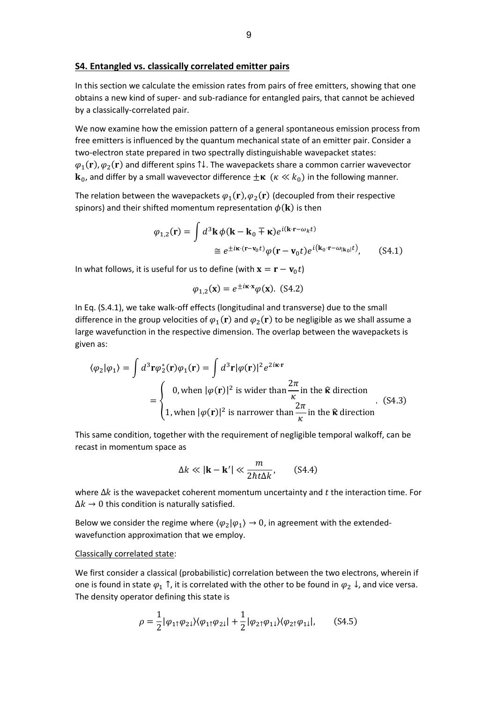#### **S4. Entangled vs. classically correlated emitter pairs**

In this section we calculate the emission rates from pairs of free emitters, showing that one obtains a new kind of super- and sub-radiance for entangled pairs, that cannot be achieved by a classically-correlated pair.

We now examine how the emission pattern of a general spontaneous emission process from free emitters is influenced by the quantum mechanical state of an emitter pair. Consider a two-electron state prepared in two spectrally distinguishable wavepacket states:  $\varphi_1({\bf r}), \varphi_2({\bf r})$  and different spins 1↓. The wavepackets share a common carrier wavevector  $\mathbf{k}_0$ , and differ by a small wavevector difference  $\pm \kappa$  ( $\kappa \ll k_0$ ) in the following manner.

The relation between the wavepackets  $\varphi_1({\bf r}), \varphi_2({\bf r})$  (decoupled from their respective spinors) and their shifted momentum representation  $\phi(\mathbf{k})$  is then

$$
\varphi_{1,2}(\mathbf{r}) = \int d^3 \mathbf{k} \, \phi(\mathbf{k} - \mathbf{k}_0 \mp \mathbf{\kappa}) e^{i(\mathbf{k} \cdot \mathbf{r} - \omega_k t)}
$$
  
\n
$$
\approx e^{\pm i \mathbf{\kappa} \cdot (\mathbf{r} - \mathbf{v}_0 t)} \varphi(\mathbf{r} - \mathbf{v}_0 t) e^{i(\mathbf{k}_0 \cdot \mathbf{r} - \omega_{|\mathbf{k}_0|} t)}, \quad (S4.1)
$$

In what follows, it is useful for us to define (with  ${\bf x} = {\bf r} - {\bf v}_0 t$ )

$$
\varphi_{1,2}(\mathbf{x}) = e^{\pm i\mathbf{\kappa} \cdot \mathbf{x}} \varphi(\mathbf{x}).
$$
 (S4.2)

In Eq. (S.4.1), we take walk-off effects (longitudinal and transverse) due to the small difference in the group velocities of  $\varphi_1({\bf r})$  and  $\varphi_2({\bf r})$  to be negligible as we shall assume a large wavefunction in the respective dimension. The overlap between the wavepackets is given as:

$$
\langle \varphi_2 | \varphi_1 \rangle = \int d^3 \mathbf{r} \varphi_2^*(\mathbf{r}) \varphi_1(\mathbf{r}) = \int d^3 \mathbf{r} | \varphi(\mathbf{r})|^2 e^{2i\mathbf{k} \cdot \mathbf{r}}
$$
  
= 
$$
\begin{cases} 0, \text{ when } |\varphi(\mathbf{r})|^2 \text{ is wider than } \frac{2\pi}{\kappa} \text{ in the } \hat{\mathbf{k}} \text{ direction} \\ 1, \text{ when } |\varphi(\mathbf{r})|^2 \text{ is narrower than } \frac{2\pi}{\kappa} \text{ in the } \hat{\mathbf{k}} \text{ direction} \end{cases}
$$
 (S4.3)

This same condition, together with the requirement of negligible temporal walkoff, can be recast in momentum space as

$$
\Delta k \ll |\mathbf{k} - \mathbf{k}'| \ll \frac{m}{2\hbar t \Delta k'}, \qquad (S4.4)
$$

where  $\Delta k$  is the wavepacket coherent momentum uncertainty and t the interaction time. For  $\Delta k \rightarrow 0$  this condition is naturally satisfied.

Below we consider the regime where  $\langle \varphi_2 | \varphi_1 \rangle \to 0$ , in agreement with the extendedwavefunction approximation that we employ.

#### Classically correlated state:

We first consider a classical (probabilistic) correlation between the two electrons, wherein if one is found in state  $\varphi_1$   $\uparrow$ , it is correlated with the other to be found in  $\varphi_2 \downarrow$ , and vice versa. The density operator defining this state is

$$
\rho = \frac{1}{2} |\varphi_{1\uparrow}\varphi_{2\downarrow}\rangle\langle\varphi_{1\uparrow}\varphi_{2\downarrow}| + \frac{1}{2} |\varphi_{2\uparrow}\varphi_{1\downarrow}\rangle\langle\varphi_{2\uparrow}\varphi_{1\downarrow}|, \quad (S4.5)
$$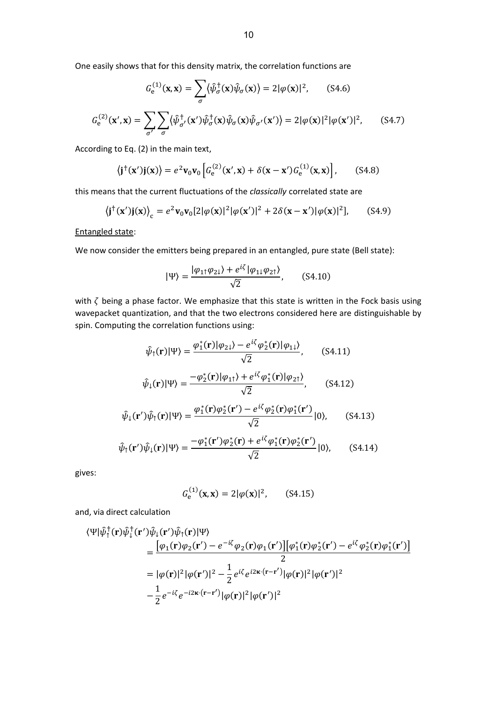One easily shows that for this density matrix, the correlation functions are

$$
G_e^{(1)}(\mathbf{x}, \mathbf{x}) = \sum_{\sigma} \langle \hat{\psi}_{\sigma}^{\dagger}(\mathbf{x}) \hat{\psi}_{\sigma}(\mathbf{x}) \rangle = 2|\varphi(\mathbf{x})|^2, \qquad (S4.6)
$$

$$
G_e^{(2)}(\mathbf{x}', \mathbf{x}) = \sum_{\sigma'} \sum_{\sigma} \langle \hat{\psi}_{\sigma'}^{\dagger}(\mathbf{x}') \hat{\psi}_{\sigma}^{\dagger}(\mathbf{x}) \hat{\psi}_{\sigma'}(\mathbf{x}') \rangle = 2|\varphi(\mathbf{x})|^2 |\varphi(\mathbf{x}')|^2, \qquad (S4.7)
$$

According to Eq. (2) in the main text,

$$
\langle \mathbf{j}^{\dagger}(\mathbf{x}')\mathbf{j}(\mathbf{x})\rangle = e^2 \mathbf{v}_0 \mathbf{v}_0 \left[ G_e^{(2)}(\mathbf{x}', \mathbf{x}) + \delta(\mathbf{x} - \mathbf{x}') G_e^{(1)}(\mathbf{x}, \mathbf{x}) \right], \quad (S4.8)
$$

this means that the current fluctuations of the *classically* correlated state are

$$
\langle \mathbf{j}^{\dagger}(\mathbf{x}')\mathbf{j}(\mathbf{x}) \rangle_{\mathbf{c}} = e^2 \mathbf{v}_0 \mathbf{v}_0 [2|\varphi(\mathbf{x})|^2 |\varphi(\mathbf{x}')|^2 + 2\delta(\mathbf{x} - \mathbf{x}') |\varphi(\mathbf{x})|^2], \quad (S4.9)
$$

Entangled state:

We now consider the emitters being prepared in an entangled, pure state (Bell state):

$$
|\Psi\rangle = \frac{|\varphi_{1\uparrow}\varphi_{2\downarrow}\rangle + e^{i\zeta}|\varphi_{1\downarrow}\varphi_{2\uparrow}\rangle}{\sqrt{2}}, \qquad (S4.10)
$$

with  $\zeta$  being a phase factor. We emphasize that this state is written in the Fock basis using wavepacket quantization, and that the two electrons considered here are distinguishable by spin. Computing the correlation functions using:

$$
\hat{\psi}_{\uparrow}(\mathbf{r})|\Psi\rangle = \frac{\varphi_{1}^{*}(\mathbf{r})|\varphi_{2\downarrow}\rangle - e^{i\zeta}\varphi_{2}^{*}(\mathbf{r})|\varphi_{1\downarrow}\rangle}{\sqrt{2}},\qquad(54.11)
$$

$$
\hat{\psi}_{\downarrow}(\mathbf{r})|\Psi\rangle = \frac{-\varphi_2^*(\mathbf{r})|\varphi_{1\uparrow}\rangle + e^{i\zeta}\varphi_1^*(\mathbf{r})|\varphi_{2\uparrow}\rangle}{\sqrt{2}},\qquad(54.12)
$$

$$
\hat{\psi}_{\downarrow}(\mathbf{r}')\hat{\psi}_{\uparrow}(\mathbf{r})|\Psi\rangle = \frac{\varphi_{1}^{*}(\mathbf{r})\varphi_{2}^{*}(\mathbf{r}') - e^{i\zeta}\varphi_{2}^{*}(\mathbf{r})\varphi_{1}^{*}(\mathbf{r}')}{\sqrt{2}}|0\rangle, \qquad (S4.13)
$$

$$
\hat{\psi}_{\uparrow}(\mathbf{r}')\hat{\psi}_{\downarrow}(\mathbf{r})|\Psi\rangle = \frac{-\varphi_{1}^{*}(\mathbf{r}')\varphi_{2}^{*}(\mathbf{r}) + e^{i\zeta}\varphi_{1}^{*}(\mathbf{r})\varphi_{2}^{*}(\mathbf{r}')}{\sqrt{2}}|0\rangle, \qquad (S4.14)
$$

gives:

$$
G_e^{(1)}(\mathbf{x}, \mathbf{x}) = 2|\varphi(\mathbf{x})|^2, \qquad (S4.15)
$$

and, via direct calculation

$$
\langle \Psi | \hat{\psi}_{\uparrow}^{\dagger}(\mathbf{r}) \hat{\psi}_{\downarrow}^{\dagger}(\mathbf{r}') \hat{\psi}_{\downarrow}(\mathbf{r}') \hat{\psi}_{\uparrow}(\mathbf{r}) | \Psi \rangle
$$
  
\n=
$$
\frac{[\varphi_{1}(\mathbf{r}) \varphi_{2}(\mathbf{r}') - e^{-i\zeta} \varphi_{2}(\mathbf{r}) \varphi_{1}(\mathbf{r}')] [\varphi_{1}^{*}(\mathbf{r}) \varphi_{2}^{*}(\mathbf{r}') - e^{i\zeta} \varphi_{2}^{*}(\mathbf{r}) \varphi_{1}^{*}(\mathbf{r}')]}{2}
$$
  
\n=
$$
|\varphi(\mathbf{r})|^{2} |\varphi(\mathbf{r}')|^{2} - \frac{1}{2} e^{i\zeta} e^{i2\kappa \cdot (\mathbf{r} - \mathbf{r}')} |\varphi(\mathbf{r})|^{2} |\varphi(\mathbf{r}')|^{2}
$$
  
\n
$$
-\frac{1}{2} e^{-i\zeta} e^{-i2\kappa \cdot (\mathbf{r} - \mathbf{r}')} |\varphi(\mathbf{r})|^{2} |\varphi(\mathbf{r}')|^{2}
$$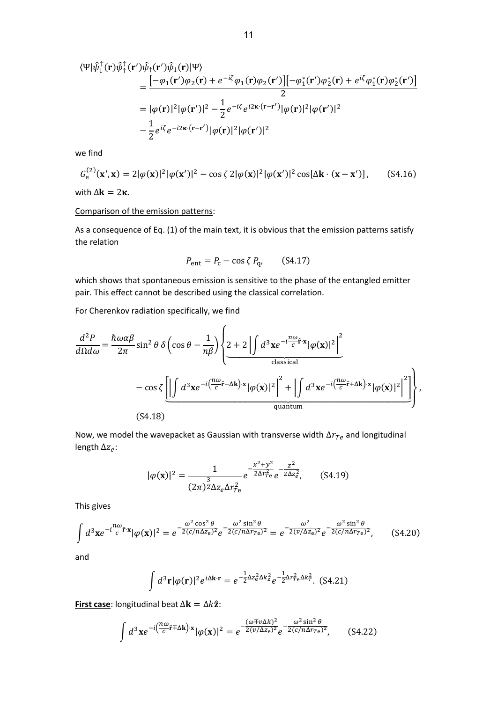$$
\langle \Psi | \hat{\psi}_{\downarrow}^{\dagger}(\mathbf{r}) \hat{\psi}_{\uparrow}^{\dagger}(\mathbf{r}') \hat{\psi}_{\downarrow}(\mathbf{r}) | \Psi \rangle
$$
  
\n=
$$
\frac{\left[-\varphi_{1}(\mathbf{r}')\varphi_{2}(\mathbf{r}) + e^{-i\zeta}\varphi_{1}(\mathbf{r})\varphi_{2}(\mathbf{r}')] \left[-\varphi_{1}^{*}(\mathbf{r}')\varphi_{2}^{*}(\mathbf{r}) + e^{i\zeta}\varphi_{1}^{*}(\mathbf{r})\varphi_{2}^{*}(\mathbf{r}')\right]\right]}{2}
$$
  
\n=
$$
|\varphi(\mathbf{r})|^{2}|\varphi(\mathbf{r}')|^{2} - \frac{1}{2}e^{-i\zeta}e^{i2\kappa\cdot(\mathbf{r}-\mathbf{r}')}|\varphi(\mathbf{r})|^{2}|\varphi(\mathbf{r}')|^{2}
$$
  
\n
$$
-\frac{1}{2}e^{i\zeta}e^{-i2\kappa\cdot(\mathbf{r}-\mathbf{r}')}|\varphi(\mathbf{r})|^{2}|\varphi(\mathbf{r}')|^{2}
$$

we find

$$
G_{\rm e}^{(2)}(\mathbf{x}',\mathbf{x}) = 2|\varphi(\mathbf{x})|^2|\varphi(\mathbf{x}')|^2 - \cos\zeta 2|\varphi(\mathbf{x})|^2|\varphi(\mathbf{x}')|^2\cos[\Delta\mathbf{k}\cdot(\mathbf{x}-\mathbf{x}')],\qquad(S4.16)
$$

with  $\Delta$ **k** = 2 $\kappa$ .

### Comparison of the emission patterns:

As a consequence of Eq. (1) of the main text, it is obvious that the emission patterns satisfy the relation

$$
P_{\rm ent} = P_{\rm c} - \cos \zeta P_{\rm q}, \qquad (S4.17)
$$

which shows that spontaneous emission is sensitive to the phase of the entangled emitter pair. This effect cannot be described using the classical correlation.

For Cherenkov radiation specifically, we find

$$
\frac{d^2 P}{d\Omega d\omega} = \frac{\hbar \omega \alpha \beta}{2\pi} \sin^2 \theta \delta \left( \cos \theta - \frac{1}{n\beta} \right) \left\{ 2 + 2 \left| \int d^3 \mathbf{x} e^{-i\frac{n\omega}{c} \mathbf{r} \cdot \mathbf{x}} |\varphi(\mathbf{x})|^2 \right|^2 - \cos \zeta \left[ \left| \int d^3 \mathbf{x} e^{-i\left(\frac{n\omega}{c} \mathbf{r} - \Delta \mathbf{k}\right) \cdot \mathbf{x}} |\varphi(\mathbf{x})|^2 \right|^2 + \left| \int d^3 \mathbf{x} e^{-i\left(\frac{n\omega}{c} \mathbf{r} + \Delta \mathbf{k}\right) \cdot \mathbf{x}} |\varphi(\mathbf{x})|^2 \right|^2 \right] \right\},\tag{S4.18}
$$

Now, we model the wavepacket as Gaussian with transverse width  $\Delta r_{Te}$  and longitudinal length  $\Delta z_e$ :

$$
|\varphi(\mathbf{x})|^2 = \frac{1}{(2\pi)^{\frac{3}{2}} \Delta z_e \Delta r_{Te}^2} e^{-\frac{x^2 + y^2}{2\Delta r_{Te}^2}} e^{-\frac{z^2}{2\Delta z_e^2}}, \quad (S4.19)
$$

This gives

$$
\int d^3 \mathbf{x} e^{-i\frac{n\omega}{c}\hat{\mathbf{r}} \cdot \mathbf{x}} |\varphi(\mathbf{x})|^2 = e^{-\frac{\omega^2 \cos^2 \theta}{2(c/n\Delta z_e)^2}} e^{-\frac{\omega^2 \sin^2 \theta}{2(c/n\Delta r_{\text{Te}})^2}} = e^{-\frac{\omega^2}{2(v/\Delta z_e)^2}} e^{-\frac{\omega^2 \sin^2 \theta}{2(c/n\Delta r_{\text{Te}})^2}}, \quad (S4.20)
$$

and

$$
\int d^3 \mathbf{r} |\varphi(\mathbf{r})|^2 e^{i\Delta \mathbf{k} \cdot \mathbf{r}} = e^{-\frac{1}{2}\Delta z_{\rm e}^2 \Delta k_z^2} e^{-\frac{1}{2}\Delta r_{\rm Te}^2 \Delta k_T^2}.
$$
 (S4.21)

**First case**: longitudinal beat  $\Delta \mathbf{k} = \Delta k \hat{\mathbf{z}}$ :

$$
\int d^3 \mathbf{x} e^{-i\left(\frac{n\omega}{c}\hat{\mathbf{r}} + \Delta \mathbf{k}\right) \cdot \mathbf{x}} |\varphi(\mathbf{x})|^2 = e^{-\frac{(\omega + \nu \Delta k)^2}{2(\nu/\Delta z_e)^2}} e^{-\frac{\omega^2 \sin^2 \theta}{2(c/n\Delta r_{\text{Te}})^2}}, \quad (S4.22)
$$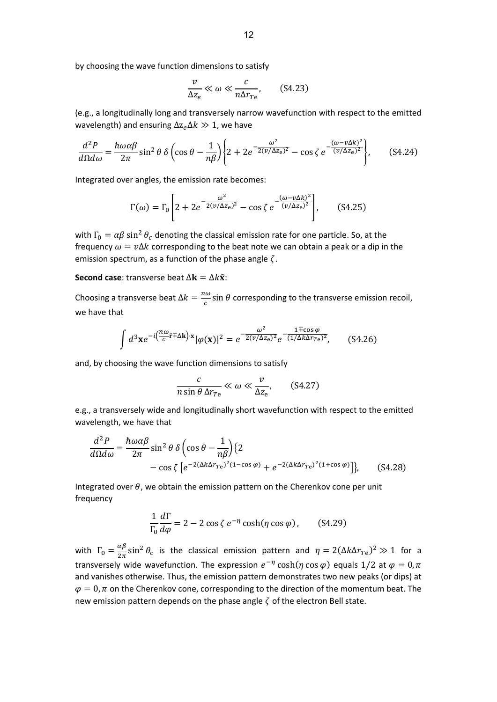by choosing the wave function dimensions to satisfy

$$
\frac{v}{\Delta z_e} \ll \omega \ll \frac{c}{n\Delta r_{Te}}, \qquad (S4.23)
$$

(e.g., a longitudinally long and transversely narrow wavefunction with respect to the emitted wavelength) and ensuring  $\Delta z_{\rho} \Delta k \gg 1$ , we have

$$
\frac{d^2P}{d\Omega d\omega} = \frac{\hbar\omega\alpha\beta}{2\pi}\sin^2\theta\ \delta\left(\cos\theta - \frac{1}{n\beta}\right) \left\{2 + 2e^{-\frac{\omega^2}{2(\nu/\Delta z_e)^2}} - \cos\zeta\ e^{-\frac{(\omega - \nu\Delta k)^2}{(\nu/\Delta z_e)^2}}\right\},\tag{S4.24}
$$

Integrated over angles, the emission rate becomes:

$$
\Gamma(\omega) = \Gamma_0 \left[ 2 + 2e^{-\frac{\omega^2}{2(\nu/\Delta z_e)^2}} - \cos \zeta e^{-\frac{(\omega - \nu \Delta k)^2}{(\nu/\Delta z_e)^2}} \right], \quad (S4.25)
$$

with  $\Gamma_0 = \alpha \beta \sin^2 \theta_c$  denoting the classical emission rate for one particle. So, at the frequency  $\omega = v\Delta k$  corresponding to the beat note we can obtain a peak or a dip in the emission spectrum, as a function of the phase angle  $\zeta$ .

## **Second case:** transverse beat  $\Delta \mathbf{k} = \Delta k \hat{\mathbf{x}}$ :

Choosing a transverse beat  $\Delta k = \frac{n\omega}{c}$  $\frac{d\omega}{c}$ sin  $\theta$  corresponding to the transverse emission recoil, we have that

$$
\int d^3 \mathbf{x} e^{-i\left(\frac{n\omega}{c}\mathbf{f} + \Delta \mathbf{k}\right) \cdot \mathbf{x}} |\varphi(\mathbf{x})|^2 = e^{-\frac{\omega^2}{2(\nu/\Delta z_e)^2}} e^{-\frac{1 \mp \cos \varphi}{(1/\Delta k \Delta r_{Te})^2}}, \quad (S4.26)
$$

and, by choosing the wave function dimensions to satisfy

$$
\frac{c}{n\sin\theta\,\Delta r_{Te}} \ll \omega \ll \frac{v}{\Delta z_e},\qquad(84.27)
$$

e.g., a transversely wide and longitudinally short wavefunction with respect to the emitted wavelength, we have that

$$
\frac{d^2P}{d\Omega d\omega} = \frac{\hbar\omega\alpha\beta}{2\pi}\sin^2\theta\,\delta\left(\cos\theta - \frac{1}{n\beta}\right)\left\{2\right.\n-\cos\zeta\left[e^{-2(\Delta k\Delta r_{\text{Te}})^2(1-\cos\varphi)} + e^{-2(\Delta k\Delta r_{\text{Te}})^2(1+\cos\varphi)}\right]\right\},\tag{S4.28}
$$

Integrated over  $\theta$ , we obtain the emission pattern on the Cherenkov cone per unit frequency

$$
\frac{1}{\Gamma_0} \frac{d\Gamma}{d\varphi} = 2 - 2\cos\zeta \, e^{-\eta} \cosh(\eta \cos\varphi) \,, \qquad \text{(S4.29)}
$$

with  $\Gamma_0 = \frac{\alpha \beta}{2 \pi}$  $\frac{\alpha \beta}{2 \pi} \sin^2 \theta_c$  is the classical emission pattern and  $\eta = 2(\Delta k \Delta r_{Te})^2 \gg 1$  for a transversely wide wavefunction. The expression  $e^{-\eta}$  cosh $(\eta \cos \varphi)$  equals 1/2 at  $\varphi = 0, \pi$ and vanishes otherwise. Thus, the emission pattern demonstrates two new peaks (or dips) at  $\varphi = 0$ ,  $\pi$  on the Cherenkov cone, corresponding to the direction of the momentum beat. The new emission pattern depends on the phase angle  $\zeta$  of the electron Bell state.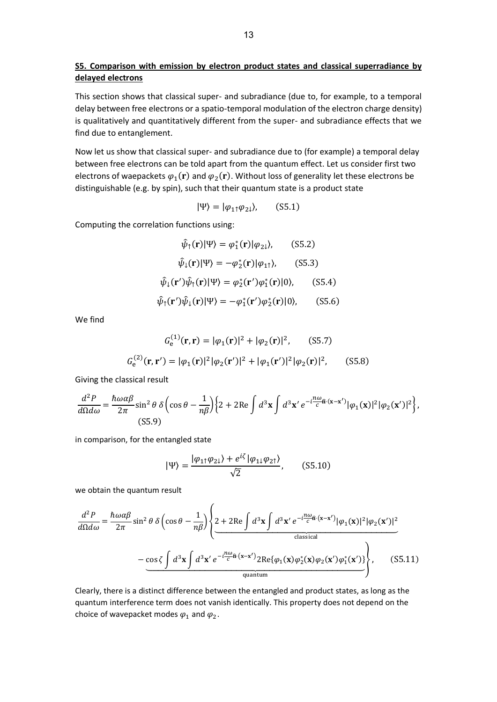## **S5. Comparison with emission by electron product states and classical superradiance by delayed electrons**

This section shows that classical super- and subradiance (due to, for example, to a temporal delay between free electrons or a spatio-temporal modulation of the electron charge density) is qualitatively and quantitatively different from the super- and subradiance effects that we find due to entanglement.

Now let us show that classical super- and subradiance due to (for example) a temporal delay between free electrons can be told apart from the quantum effect. Let us consider first two electrons of waepackets  $\varphi_1({\bf r})$  and  $\varphi_2({\bf r})$ . Without loss of generality let these electrons be distinguishable (e.g. by spin), such that their quantum state is a product state

$$
|\Psi\rangle = |\varphi_{1\uparrow}\varphi_{2\downarrow}\rangle, \qquad (S5.1)
$$

Computing the correlation functions using:

$$
\hat{\psi}_{\uparrow}(\mathbf{r})|\Psi\rangle = \varphi_{1}^{*}(\mathbf{r})|\varphi_{2\downarrow}\rangle, \qquad (S5.2)
$$

$$
\hat{\psi}_{\downarrow}(\mathbf{r})|\Psi\rangle = -\varphi_{2}^{*}(\mathbf{r})|\varphi_{1\uparrow}\rangle, \qquad (S5.3)
$$

$$
\hat{\psi}_{\downarrow}(\mathbf{r}')\hat{\psi}_{\uparrow}(\mathbf{r})|\Psi\rangle = \varphi_{2}^{*}(\mathbf{r}')\varphi_{1}^{*}(\mathbf{r})|0\rangle, \qquad (S5.4)
$$

$$
\hat{\psi}_{\uparrow}(\mathbf{r}')\hat{\psi}_{\downarrow}(\mathbf{r})|\Psi\rangle = -\varphi_{1}^{*}(\mathbf{r}')\varphi_{2}^{*}(\mathbf{r})|0\rangle, \qquad (S5.6)
$$

We find

$$
G_e^{(1)}(\mathbf{r}, \mathbf{r}) = |\varphi_1(\mathbf{r})|^2 + |\varphi_2(\mathbf{r})|^2, \qquad (S5.7)
$$
  

$$
G_e^{(2)}(\mathbf{r}, \mathbf{r}') = |\varphi_1(\mathbf{r})|^2 |\varphi_2(\mathbf{r}')|^2 + |\varphi_1(\mathbf{r}')|^2 |\varphi_2(\mathbf{r})|^2, \qquad (S5.8)
$$

Giving the classical result

$$
\frac{d^2P}{d\Omega d\omega} = \frac{\hbar\omega\alpha\beta}{2\pi} \sin^2\theta \delta \left(\cos\theta - \frac{1}{n\beta}\right) \left\{2 + 2\text{Re}\int d^3\mathbf{x} \int d^3\mathbf{x}' e^{-i\frac{n\omega}{c}\hat{\mathbf{n}}\cdot(\mathbf{x} - \mathbf{x}')} |\varphi_1(\mathbf{x})|^2 |\varphi_2(\mathbf{x}')|^2\right\},\tag{S5.9}
$$

in comparison, for the entangled state

$$
|\Psi\rangle = \frac{|\varphi_{1\uparrow}\varphi_{2\downarrow}\rangle + e^{i\zeta}|\varphi_{1\downarrow}\varphi_{2\uparrow}\rangle}{\sqrt{2}}, \quad (S5.10)
$$

we obtain the quantum result

$$
\frac{d^2P}{d\Omega d\omega} = \frac{\hbar\omega\alpha\beta}{2\pi}\sin^2\theta\,\delta\left(\cos\theta - \frac{1}{n\beta}\right) \left\{ 2 + 2\text{Re}\int d^3\mathbf{x} \int d^3\mathbf{x}' e^{-i\frac{n\omega}{c}\hat{\mathbf{n}}\cdot(\mathbf{x}-\mathbf{x}')} |\varphi_1(\mathbf{x})|^2 |\varphi_2(\mathbf{x}')|^2 \right. \\ \left. - \frac{\cos\zeta\int d^3\mathbf{x} \int d^3\mathbf{x}' e^{-i\frac{n\omega}{c}\hat{\mathbf{n}}\cdot(\mathbf{x}-\mathbf{x}')} 2\text{Re}\{\varphi_1(\mathbf{x})\varphi_2^*(\mathbf{x})\varphi_2(\mathbf{x}')\varphi_1^*(\mathbf{x}')\}}{\text{quantum}} \right\}, \quad (S5.11)
$$

Clearly, there is a distinct difference between the entangled and product states, as long as the quantum interference term does not vanish identically. This property does not depend on the choice of wavepacket modes  $\varphi_1$  and  $\varphi_2$ .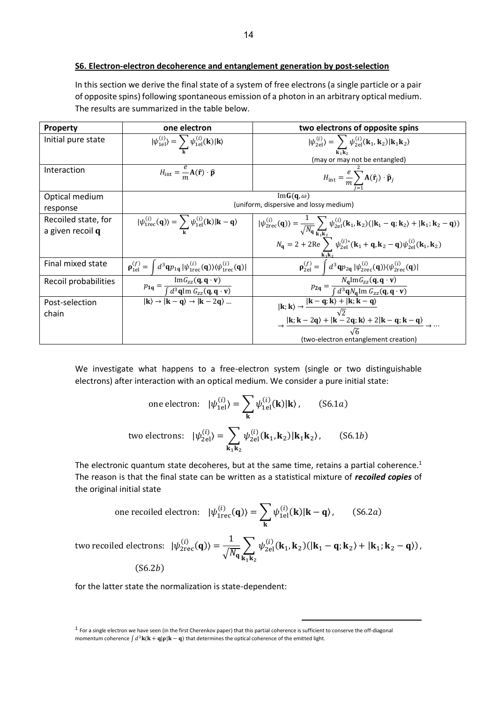In this section we derive the final state of a system of free electrons (a single particle or a pair of opposite spins) following spontaneous emission of a photon in an arbitrary optical medium. The results are summarized in the table below.

| <b>Property</b>      | one electron                                                                                                                                              | two electrons of opposite spins                                                                                                                                                                                                                                        |
|----------------------|-----------------------------------------------------------------------------------------------------------------------------------------------------------|------------------------------------------------------------------------------------------------------------------------------------------------------------------------------------------------------------------------------------------------------------------------|
| Initial pure state   | $ \psi_{\text{1el}}^{(i)}\rangle = \sum \psi_{\text{1el}}^{(i)}(\mathbf{k}) \mathbf{k}\rangle$                                                            | $ \psi_{2el}^{(i)}\rangle = \sum_{i} \psi_{2el}^{(i)}({\bf k}_1,{\bf k}_2) {\bf k}_1{\bf k}_2\rangle$                                                                                                                                                                  |
|                      |                                                                                                                                                           | (may or may not be entangled)                                                                                                                                                                                                                                          |
| Interaction          | $H_{\text{int}} = \frac{e}{m} \mathbf{A}(\hat{\mathbf{r}}) \cdot \hat{\mathbf{p}}$                                                                        | $H_{\text{int}} = \frac{e}{m} \sum_i \mathbf{A}(\hat{\mathbf{r}}_j) \cdot \hat{\mathbf{p}}_j$                                                                                                                                                                          |
| Optical medium       | $ImG(q,\omega)$                                                                                                                                           |                                                                                                                                                                                                                                                                        |
| response             | (uniform, dispersive and lossy medium)                                                                                                                    |                                                                                                                                                                                                                                                                        |
| Recoiled state, for  | $ \psi_{1\text{rec}}^{(i)}(\mathbf{q})\rangle = \sum \psi_{1\text{el}}^{(i)}(\mathbf{k}) \mathbf{k} - \mathbf{q}\rangle$                                  |                                                                                                                                                                                                                                                                        |
| a given recoil q     |                                                                                                                                                           | $ \psi_{2\text{rec}}^{(i)}(\mathbf{q})\rangle = \frac{1}{\sqrt{N_{\mathbf{q}}}}\sum_{\mathbf{k}_1,\mathbf{k}_2} \psi_{2\text{el}}^{(i)}(\mathbf{k}_1,\mathbf{k}_2)( \mathbf{k}_1-\mathbf{q};\mathbf{k}_2\rangle +  \mathbf{k}_1;\mathbf{k}_2-\mathbf{q}\rangle)$       |
|                      |                                                                                                                                                           | $N_{\mathbf{q}} = 2 + 2\text{Re}\sum_{\mathbf{k},\mathbf{k}_0} \psi_{2\text{el}}^{(i)*}(\mathbf{k}_1 + \mathbf{q}, \mathbf{k}_2 - \mathbf{q})\psi_{2\text{el}}^{(i)}(\mathbf{k}_1, \mathbf{k}_2)$                                                                      |
| Final mixed state    | $\mathbf{p}_{1el}^{(f)} = \int d^3\mathbf{q} p_{1\mathbf{q}}  \psi_{1\text{rec}}^{(i)}(\mathbf{q})\rangle \langle \psi_{1\text{rec}}^{(i)}(\mathbf{q}) $  | $\mathbf{p}_{2el}^{(f)} = \int d^3\mathbf{q}p_{2\mathbf{q}}  \psi_{2\text{rec}}^{(i)}(\mathbf{q})\rangle \langle \psi_{2\text{rec}}^{(i)}(\mathbf{q}) $                                                                                                                |
| Recoil probabilities | $p_{1q} = \frac{\text{Im}G_{zz}(\mathbf{q}, \mathbf{q} \cdot \mathbf{v})}{\int d^3\mathbf{q} \text{Im } G_{zz}(\mathbf{q}, \mathbf{q} \cdot \mathbf{v})}$ | $p_{2\mathbf{q}} = \frac{N_{\mathbf{q}} \text{Im} G_{zz}(\mathbf{q}, \mathbf{q} \cdot \mathbf{v})}{\int d^3 \mathbf{q} N_{\mathbf{q}} \text{Im} G_{zz}(\mathbf{q}, \mathbf{q} \cdot \mathbf{v})}$                                                                      |
| Post-selection       | $\overline{\mathbf{R}} \rightarrow \overline{\mathbf{R} - \mathbf{q}} \rightarrow \overline{\mathbf{R} - 2\mathbf{q}}$                                    |                                                                                                                                                                                                                                                                        |
| chain                |                                                                                                                                                           | $ {\bf k};{\bf k}\rangle \rightarrow \frac{ {\bf k}-{\bf q};{\bf k}\rangle + {\bf k};{\bf k}-{\bf q}\rangle}{\sqrt{2}}$<br>$\rightarrow \frac{ {\bf k};{\bf k}-2{\bf q}\rangle + {\bf k}-2{\bf q};{\bf k}\rangle +2 {\bf k}-{\bf q};{\bf k}-{\bf q}\rangle}{\sqrt{2}}$ |
|                      |                                                                                                                                                           |                                                                                                                                                                                                                                                                        |
|                      |                                                                                                                                                           | (two-electron entanglement creation)                                                                                                                                                                                                                                   |

We investigate what happens to a free-electron system (single or two distinguishable electrons) after interaction with an optical medium. We consider a pure initial state:

one electron: 
$$
|\psi_{1el}^{(i)}\rangle = \sum_{\mathbf{k}} \psi_{1el}^{(i)}(\mathbf{k})|\mathbf{k}\rangle
$$
, (S6.1*a*)  
two electrons:  $|\psi_{2el}^{(i)}\rangle = \sum_{\mathbf{k}_1 \mathbf{k}_2} \psi_{2el}^{(i)}(\mathbf{k}_1, \mathbf{k}_2)|\mathbf{k}_1 \mathbf{k}_2\rangle$ , (S6.1*b*)

The electronic quantum state decoheres, but at the same time, retains a partial coherence.<sup>1</sup> The reason is that the final state can be written as a statistical mixture of *recoiled copies* of the original initial state

one recoiled electron: 
$$
|\psi_{\text{tree}}^{(i)}(\mathbf{q})\rangle = \sum_{\mathbf{k}} \psi_{\text{1el}}^{(i)}(\mathbf{k}) |\mathbf{k} - \mathbf{q}\rangle
$$
, (S6.2*a*)

two recoiled electrons:  $|\psi_{\rm 2rec}^{(i)}(\mathbf{q})\rangle = \frac{1}{\sqrt{N}}$  $\frac{1}{\sqrt{N_{\mathbf{q}}}}\sum_{\mathbf{k},\mathbf{k}_2} \psi_{2\mathrm{el}}^{(i)}(\mathbf{k}_1,\mathbf{k}_2)(|\mathbf{k}_1-\mathbf{q};\mathbf{k}_2\rangle+|\mathbf{k}_1;\mathbf{k}_2-\mathbf{q}\rangle)$  $k_1k_2$ ,  $(S6.2b)$ 

for the latter state the normalization is state-dependent:

 $1$  For a single electron we have seen (in the first Cherenkov paper) that this partial coherence is sufficient to conserve the off-diagonal momentum coherence  $\int d^3\mathbf{k}(\mathbf{k}+\mathbf{q}|\mathbf{p}|\mathbf{k}-\mathbf{q})$  that determines the optical coherence of the emitted light.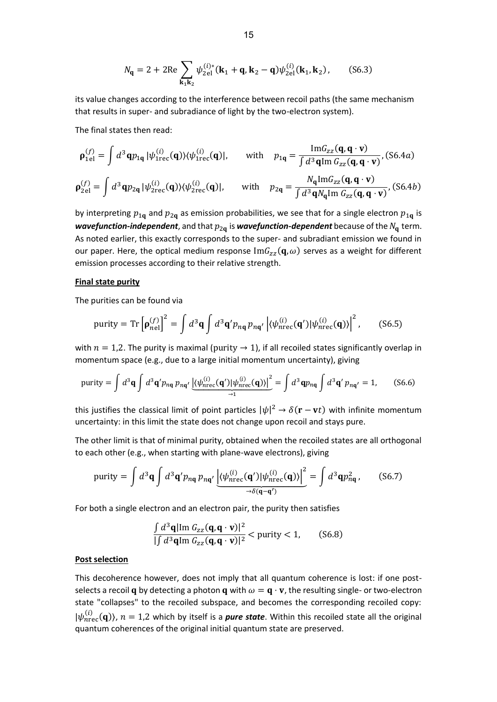$$
N_{\mathbf{q}} = 2 + 2\text{Re}\sum_{\mathbf{k}_1\mathbf{k}_2} \psi_{2\text{el}}^{(i)*}(\mathbf{k}_1 + \mathbf{q}, \mathbf{k}_2 - \mathbf{q})\psi_{2\text{el}}^{(i)}(\mathbf{k}_1, \mathbf{k}_2), \quad (S6.3)
$$

its value changes according to the interference between recoil paths (the same mechanism that results in super- and subradiance of light by the two-electron system).

The final states then read:

$$
\rho_{1\mathbf{e}1}^{(f)} = \int d^3 \mathbf{q} p_{1\mathbf{q}} |\psi_{1\text{rec}}^{(i)}(\mathbf{q})\rangle\langle\psi_{1\text{rec}}^{(i)}(\mathbf{q})|, \quad \text{with} \quad p_{1\mathbf{q}} = \frac{\text{Im} G_{zz}(\mathbf{q}, \mathbf{q} \cdot \mathbf{v})}{\int d^3 \mathbf{q} \text{Im} G_{zz}(\mathbf{q}, \mathbf{q} \cdot \mathbf{v})}, (S6.4a)
$$
\n
$$
\rho_{2\mathbf{e}1}^{(f)} = \int d^3 \mathbf{q} p_{2\mathbf{q}} |\psi_{2\text{rec}}^{(i)}(\mathbf{q})\rangle\langle\psi_{2\text{rec}}^{(i)}(\mathbf{q})|, \quad \text{with} \quad p_{2\mathbf{q}} = \frac{N_{\mathbf{q}} \text{Im} G_{zz}(\mathbf{q}, \mathbf{q} \cdot \mathbf{v})}{\int d^3 \mathbf{q} N_{\mathbf{q}} \text{Im} G_{zz}(\mathbf{q}, \mathbf{q} \cdot \mathbf{v})}, (S6.4b)
$$

by interpreting  $p_{1q}$  and  $p_{2q}$  as emission probabilities, we see that for a single electron  $p_{1q}$  is *wavefunction-independent*, and that  $p_{2q}$  is *wavefunction-dependent* because of the  $N_q$  term. As noted earlier, this exactly corresponds to the super- and subradiant emission we found in our paper. Here, the optical medium response  $\text{Im}G_{zz}(\mathbf{q},\omega)$  serves as a weight for different emission processes according to their relative strength.

#### **Final state purity**

The purities can be found via

$$
\text{purity} = \text{Tr}\left[\mathbf{p}_{\text{nel}}^{(f)}\right]^2 = \int d^3\mathbf{q} \int d^3\mathbf{q}' p_{n\mathbf{q}} p_{n\mathbf{q}'} \left| \langle \psi_{\text{nrec}}^{(i)}(\mathbf{q}') | \psi_{\text{nrec}}^{(i)}(\mathbf{q}) \rangle \right|^2, \quad (S6.5)
$$

with  $n = 1,2$ . The purity is maximal (purity  $\rightarrow 1$ ), if all recoiled states significantly overlap in momentum space (e.g., due to a large initial momentum uncertainty), giving

$$
\text{purity} = \int d^3 \mathbf{q} \int d^3 \mathbf{q}' p_{n\mathbf{q}} p_{n\mathbf{q}'} \underbrace{\left| \langle \psi_{n\text{rec}}^{(i)}(\mathbf{q}') | \psi_{n\text{rec}}^{(i)}(\mathbf{q}) \rangle \right|^2}_{\rightarrow 1} = \int d^3 \mathbf{q} p_{n\mathbf{q}} \int d^3 \mathbf{q}' p_{n\mathbf{q}'} = 1, \quad (S6.6)
$$

this justifies the classical limit of point particles  $|\psi|^2 \to \delta(\mathbf{r}-\mathbf{v}t)$  with infinite momentum uncertainty: in this limit the state does not change upon recoil and stays pure.

The other limit is that of minimal purity, obtained when the recoiled states are all orthogonal to each other (e.g., when starting with plane-wave electrons), giving

$$
\text{purity} = \int d^3 \mathbf{q} \int d^3 \mathbf{q}' p_{n\mathbf{q}} p_{n\mathbf{q}'} \underbrace{\left| \langle \psi_{n\text{rec}}^{(i)}(\mathbf{q}') | \psi_{n\text{rec}}^{(i)}(\mathbf{q}) \rangle \right|^2}_{\rightarrow \delta(\mathbf{q} - \mathbf{q}')} = \int d^3 \mathbf{q} p_{n\mathbf{q}}^2, \quad (S6.7)
$$

For both a single electron and an electron pair, the purity then satisfies

$$
\frac{\int d^3\mathbf{q}|\mathrm{Im} G_{zz}(\mathbf{q}, \mathbf{q} \cdot \mathbf{v})|^2}{\int d^3\mathbf{q}\mathrm{Im} G_{zz}(\mathbf{q}, \mathbf{q} \cdot \mathbf{v})|^2} < \text{purity} < 1,
$$
 (S6.8)

#### **Post selection**

This decoherence however, does not imply that all quantum coherence is lost: if one postselects a recoil **q** by detecting a photon **q** with  $\omega = \mathbf{q} \cdot \mathbf{v}$ , the resulting single- or two-electron state "collapses" to the recoiled subspace, and becomes the corresponding recoiled copy:  $|\psi_{n\text{rec}}^{(i)}(\mathbf{q})\rangle$ ,  $n = 1,2$  which by itself is a *pure state*. Within this recoiled state all the original quantum coherences of the original initial quantum state are preserved.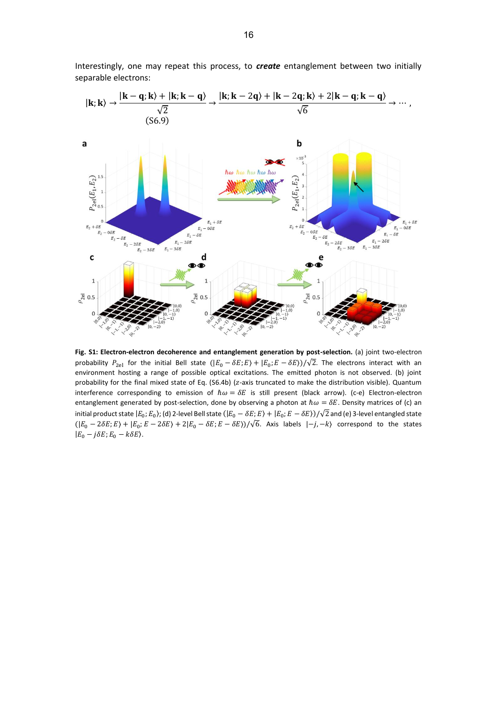Interestingly, one may repeat this process, to *create* entanglement between two initially separable electrons:



**Fig. S1: Electron-electron decoherence and entanglement generation by post-selection.** (a) joint two-electron probability  $P_{2el}$  for the initial Bell state  $(|E_0 - \delta E; E\rangle + |E_0; E - \delta E\rangle)/\sqrt{2}$ . The electrons interact with an environment hosting a range of possible optical excitations. The emitted photon is not observed. (b) joint probability for the final mixed state of Eq. (S6.4b) (z-axis truncated to make the distribution visible). Quantum interference corresponding to emission of  $\hbar \omega = \delta E$  is still present (black arrow). (c-e) Electron-electron entanglement generated by post-selection, done by observing a photon at  $\hbar\omega = \delta E$ . Density matrices of (c) an initial product state  $|E_0;E_0\rangle$ ; (d) 2-level Bell state  $(|E_0 - \delta E;E\rangle + |E_0;E - \delta E\rangle)/\sqrt{2}$  and (e) 3-level entangled state  $(|E_0 - 2\delta E; E\rangle + |E_0; E - 2\delta E\rangle + 2|E_0 - \delta E; E - \delta E\rangle)/\sqrt{6}$ . Axis labels  $|-j, -k\rangle$  correspond to the states  $|E_0 - j\delta E$ ;  $E_0 - k\delta E$ ).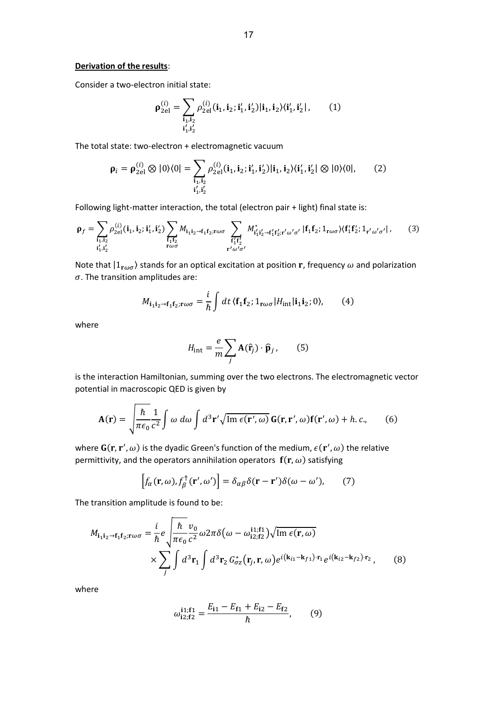#### **Derivation of the results**:

Consider a two-electron initial state:

$$
\rho_{2el}^{(i)} = \sum_{\substack{\mathbf{i}_1, \mathbf{i}_2 \\ \mathbf{i}'_1, \mathbf{i}'_2}} \rho_{2el}^{(i)}(\mathbf{i}_1, \mathbf{i}_2; \mathbf{i}'_1, \mathbf{i}'_2) |\mathbf{i}_1, \mathbf{i}_2\rangle \langle \mathbf{i}'_1, \mathbf{i}'_2|, \qquad (1)
$$

The total state: two-electron + electromagnetic vacuum

$$
\rho_i = \rho_{2el}^{(i)} \otimes |0\rangle\langle 0| = \sum_{\substack{\mathbf{i}_1, \mathbf{i}_2 \\ \mathbf{i}'_1, \mathbf{i}'_2}} \rho_{2el}^{(i)}(\mathbf{i}_1, \mathbf{i}_2; \mathbf{i}'_1, \mathbf{i}'_2) |\mathbf{i}_1, \mathbf{i}_2\rangle\langle\mathbf{i}'_1, \mathbf{i}'_2| \otimes |0\rangle\langle 0|,
$$
 (2)

Following light-matter interaction, the total (electron pair + light) final state is:

$$
\rho_f = \sum_{\substack{\mathbf{i}_1, \mathbf{i}_2 \\ \mathbf{i}'_1, \mathbf{i}'_2}} \rho_{2el}^{(i)}(\mathbf{i}_1, \mathbf{i}_2; \mathbf{i}'_1, \mathbf{i}'_2) \sum_{\substack{\mathbf{f}_1 \mathbf{f}_2 \\ \mathbf{r}\omega\sigma}} M_{\mathbf{i}_1 \mathbf{i}_2 \to \mathbf{f}_1 \mathbf{f}_2; \mathbf{r}\omega\sigma} \sum_{\substack{\mathbf{f}'_1 \mathbf{f}'_2 \\ \mathbf{r}'\omega'\sigma'}} M_{\mathbf{i}'_1 \mathbf{i}'_2 \to \mathbf{f}'_1 \mathbf{f}'_2; \mathbf{r}'\omega'\sigma'} | \mathbf{f}_1 \mathbf{f}_2; \mathbf{1}_{\mathbf{r}\omega\sigma} \rangle \langle \mathbf{f}'_1 \mathbf{f}'_2; \mathbf{1}_{\mathbf{r}'\omega'\sigma'} |, \tag{3}
$$

Note that  $|1_{\mathbf{r}\omega\sigma}\rangle$  stands for an optical excitation at position **r**, frequency  $\omega$  and polarization  $\sigma$ . The transition amplitudes are:

$$
M_{\mathbf{i}_1 \mathbf{i}_2 \to \mathbf{f}_1 \mathbf{f}_2; \mathbf{r} \omega \sigma} = \frac{i}{\hbar} \int dt \, \langle \mathbf{f}_1 \mathbf{f}_2; \mathbf{1}_{\mathbf{r} \omega \sigma} | H_{\text{int}} | \mathbf{i}_1 \mathbf{i}_2; 0 \rangle, \qquad (4)
$$

where

$$
H_{\text{int}} = \frac{e}{m} \sum_{j} \mathbf{A}(\hat{\mathbf{r}}_{j}) \cdot \hat{\mathbf{p}}_{j}, \qquad (5)
$$

is the interaction Hamiltonian, summing over the two electrons. The electromagnetic vector potential in macroscopic QED is given by

$$
\mathbf{A}(\mathbf{r}) = \sqrt{\frac{\hbar}{\pi \epsilon_0} \frac{1}{c^2}} \int \omega \, d\omega \int d^3 \mathbf{r}' \sqrt{\mathrm{Im} \, \epsilon(\mathbf{r}', \omega)} \, \mathbf{G}(\mathbf{r}, \mathbf{r}', \omega) \mathbf{f}(\mathbf{r}', \omega) + h.c., \tag{6}
$$

where  $G(r, r', \omega)$  is the dyadic Green's function of the medium,  $\epsilon(r', \omega)$  the relative permittivity, and the operators annihilation operators  $f(r, \omega)$  satisfying

$$
\left[f_{\alpha}(\mathbf{r},\omega),f_{\beta}^{\dagger}(\mathbf{r}',\omega')\right] = \delta_{\alpha\beta}\delta(\mathbf{r}-\mathbf{r}')\delta(\omega-\omega'),\qquad(7)
$$

The transition amplitude is found to be:

$$
M_{\mathbf{i}_1 \mathbf{i}_2 \to \mathbf{f}_1 \mathbf{f}_2; \mathbf{r} \omega \sigma} = \frac{i}{\hbar} e \sqrt{\frac{\hbar}{\pi \epsilon_0} \frac{v_0}{c^2} \omega 2 \pi \delta (\omega - \omega_{i2;f2}^{i1;f1}) \sqrt{\text{Im }\epsilon(\mathbf{r}, \omega)}}
$$
  
 
$$
\times \sum_j \int d^3 \mathbf{r}_1 \int d^3 \mathbf{r}_2 G^*_{\sigma z}(\mathbf{r}_j, \mathbf{r}, \omega) e^{i(\mathbf{k}_{i1} - \mathbf{k}_{f1}) \cdot \mathbf{r}_1} e^{i(\mathbf{k}_{i2} - \mathbf{k}_{f2}) \cdot \mathbf{r}_2}, \qquad (8)
$$

where

$$
\omega_{12;f2}^{11;f1} = \frac{E_{11} - E_{f1} + E_{12} - E_{f2}}{\hbar},\qquad(9)
$$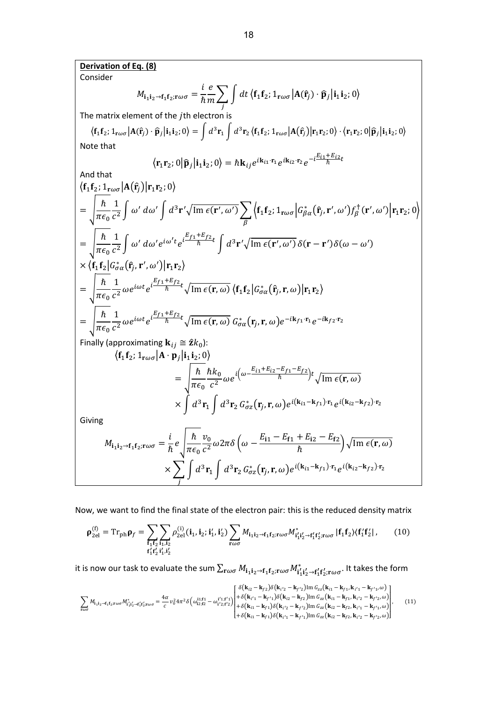**Derivation of Eq. (8)**

Consider

$$
M_{\mathbf{i}_1 \mathbf{i}_2 \to \mathbf{f}_1 \mathbf{f}_2; \mathbf{r} \omega \sigma} = \frac{i}{\hbar} \frac{e}{m} \sum_j \int dt \, \langle \mathbf{f}_1 \mathbf{f}_2; \mathbf{1}_{\mathbf{r} \omega \sigma} | \mathbf{A}(\hat{\mathbf{r}}_j) \cdot \hat{\mathbf{p}}_j | \mathbf{i}_1 \mathbf{i}_2; 0 \rangle
$$

The matrix element of the  $j$ th electron is

$$
\langle \mathbf{f}_1 \mathbf{f}_2; 1_{\mathbf{r}\omega\sigma} | \mathbf{A}(\hat{\mathbf{r}}_j) \cdot \hat{\mathbf{p}}_j | \mathbf{i}_1 \mathbf{i}_2; 0 \rangle = \int d^3 \mathbf{r}_1 \int d^3 \mathbf{r}_2 \langle \mathbf{f}_1 \mathbf{f}_2; 1_{\mathbf{r}\omega\sigma} | \mathbf{A}(\hat{\mathbf{r}}_j) | \mathbf{r}_1 \mathbf{r}_2; 0 \rangle \cdot \langle \mathbf{r}_1 \mathbf{r}_2; 0 | \hat{\mathbf{p}}_j | \mathbf{i}_1 \mathbf{i}_2; 0 \rangle
$$
  
Note that

$$
\langle \mathbf{r}_1 \mathbf{r}_2; 0 | \widehat{\mathbf{p}}_j | \mathbf{i}_1 \mathbf{i}_2; 0 \rangle = \hbar \mathbf{k}_{ij} e^{i \mathbf{k}_{i1} \cdot \mathbf{r}_1} e^{i \mathbf{k}_{i2} \cdot \mathbf{r}_2} e^{-i \frac{E_{i1} + E_{i2}}{\hbar} t}
$$

And that

$$
\langle \mathbf{f}_{1} \mathbf{f}_{2}; \mathbf{1}_{\mathbf{r}\omega\sigma} | \mathbf{A}(\hat{\mathbf{r}}_{j}) | \mathbf{r}_{1} \mathbf{r}_{2}; 0 \rangle
$$
\n
$$
= \sqrt{\frac{\hbar}{\pi \epsilon_{0}} \frac{1}{c^{2}}} \int \omega' d\omega' \int d^{3} \mathbf{r}' \sqrt{\mathrm{Im} \epsilon(\mathbf{r}', \omega')} \sum_{\beta} \langle \mathbf{f}_{1} \mathbf{f}_{2}; \mathbf{1}_{\mathbf{r}\omega\sigma} | G_{\beta\alpha}^{*}(\hat{\mathbf{r}}_{j}, \mathbf{r}', \omega') f_{\beta}^{+}(\mathbf{r}', \omega') | \mathbf{r}_{1} \mathbf{r}_{2}; 0 \rangle
$$
\n
$$
= \sqrt{\frac{\hbar}{\pi \epsilon_{0}} \frac{1}{c^{2}}} \int \omega' d\omega' e^{i\omega' t} e^{i\frac{E_{f1} + E_{f2}}{\hbar}} \int d^{3} \mathbf{r}' \sqrt{\mathrm{Im} \epsilon(\mathbf{r}', \omega')} \delta(\mathbf{r} - \mathbf{r}') \delta(\omega - \omega')
$$
\n
$$
\times \langle \mathbf{f}_{1} \mathbf{f}_{2} | G_{\sigma\alpha}^{*}(\hat{\mathbf{r}}_{j}, \mathbf{r}', \omega') | \mathbf{r}_{1} \mathbf{r}_{2} \rangle
$$
\n
$$
= \sqrt{\frac{\hbar}{\pi \epsilon_{0}} \frac{1}{c^{2}}} \omega e^{i\omega t} e^{i\frac{E_{f1} + E_{f2}}{\hbar}} \sqrt{\mathrm{Im} \epsilon(\mathbf{r}, \omega)} \langle \mathbf{f}_{1} \mathbf{f}_{2} | G_{\sigma\alpha}^{*}(\hat{\mathbf{r}}_{j}, \mathbf{r}, \omega) | \mathbf{r}_{1} \mathbf{r}_{2} \rangle
$$
\n
$$
= \sqrt{\frac{\hbar}{\pi \epsilon_{0}} \frac{1}{c^{2}}} \omega e^{i\omega t} e^{i\frac{E_{f1} + E_{f2}}{\hbar}} \sqrt{\mathrm{Im} \epsilon(\mathbf{r}, \omega)} G_{\sigma\alpha}^{*}(\mathbf{r}_{j}, \mathbf{r}, \omega) e^{-i\mathbf{k}_{f1} \cdot \mathbf{r}_{1}} e^{-i\mathbf{k}_{f2} \cdot \mathbf{r
$$

Finally (approximating 
$$
\mathbf{k}_{ij} \cong 2k_0
$$
):

$$
\langle \mathbf{f}_1 \mathbf{f}_2; 1_{\mathbf{r}\omega\sigma} | \mathbf{A} \cdot \mathbf{p}_j | \mathbf{i}_1 \mathbf{i}_2; 0 \rangle
$$
  
= 
$$
\sqrt{\frac{\hbar}{\pi \epsilon_0} \frac{\hbar k_0}{c^2} \omega e^{i \left( \omega - \frac{E_{i1} + E_{i2} - E_{f1} - E_{f2}}{\hbar} \right) t} \sqrt{\text{Im } \epsilon(\mathbf{r}, \omega)}}
$$
  
× 
$$
\int d^3 \mathbf{r}_1 \int d^3 \mathbf{r}_2 G^*_{\sigma z}(\mathbf{r}_j, \mathbf{r}, \omega) e^{i (\mathbf{k}_{i1} - \mathbf{k}_{f1}) \cdot \mathbf{r}_1} e^{i (\mathbf{k}_{i2} - \mathbf{k}_{f2}) \cdot \mathbf{r}_2}
$$

Giving

$$
M_{\mathbf{i}_1 \mathbf{i}_2 \to \mathbf{f}_1 \mathbf{f}_2; \mathbf{r} \omega \sigma} = \frac{i}{\hbar} e \sqrt{\frac{\hbar}{\pi \epsilon_0} \frac{v_0}{c^2} \omega 2\pi \delta \left(\omega - \frac{E_{11} - E_{f1} + E_{12} - E_{f2}}{\hbar}\right) \sqrt{\text{Im } \epsilon(\mathbf{r}, \omega)}}
$$
  
 
$$
\times \sum_j \int d^3 \mathbf{r}_1 \int d^3 \mathbf{r}_2 G_{\sigma z}^*(\mathbf{r}_j, \mathbf{r}, \omega) e^{i(\mathbf{k}_{i1} - \mathbf{k}_{f1}) \cdot \mathbf{r}_1} e^{i(\mathbf{k}_{i2} - \mathbf{k}_{f2}) \cdot \mathbf{r}_2}
$$

Now, we want to find the final state of the electron pair: this is the reduced density matrix

$$
\rho_{2el}^{(f)} = Tr_{\text{ph}} \rho_f = \sum_{f_1 f_2} \sum_{i_1, i_2} \rho_{2el}^{(i)}(i_1, i_2; i'_1, i'_2) \sum_{r \omega \sigma} M_{i_1 i_2 \to f_1 f_2; r \omega \sigma} M_{i'_1 i'_2 \to f'_1 f'_2; r \omega \sigma}^* |f_1 f_2\rangle \langle f'_1 f'_2 | , \qquad (10)
$$

it is now our task to evaluate the sum  $\sum_{\mathbf{r}\omega\sigma}M_{\mathbf{i_1i_2}\rightarrow\mathbf{f_1f_2};\mathbf{r}\omega\sigma}M_{\mathbf{i'_1i'_2}\rightarrow\mathbf{f'_1f'_2};\mathbf{r}\omega\sigma}^*$  $\kappa_{\omega\sigma}\,M_{\mathbf{i_1 i_2}\rightarrow\mathbf{f_1 f_2};\mathbf{r}\omega\sigma}M_{\mathbf{i'_1 i'_2}\rightarrow\mathbf{f'_1 f'_2};\mathbf{r}\omega\sigma}.$  It takes the form

$$
\sum_{\mathbf{r}\omega\sigma} M_{\mathbf{i}_1\mathbf{i}_2\to\mathbf{f}_1\mathbf{f}_2;\mathbf{r}\omega\sigma} M_{\mathbf{i}_1'\mathbf{i}_2'\to\mathbf{f}_1'\mathbf{f}_2';\mathbf{r}\omega\sigma}^* = \frac{4\alpha}{c} v_0^2 4\pi^2 \delta \left( \omega_{12;f2}^{\mathbf{i}_1;\mathbf{f}_1} - \omega_{1'2;f2}^{\mathbf{i}'1;\mathbf{f}_1'} \right) \begin{pmatrix} \delta(\mathbf{k}_{iz} - \mathbf{k}_{f2}) \delta(\mathbf{k}_{i'2} - \mathbf{k}_{f'2}) \mathrm{Im} \ G_{zz}(\mathbf{k}_{i1} - \mathbf{k}_{f1}, \mathbf{k}_{i'1} - \mathbf{k}_{f'1}, \omega) \\ + \delta(\mathbf{k}_{i'1} - \mathbf{k}_{f1}) \delta(\mathbf{k}_{i2} - \mathbf{k}_{f2}) \mathrm{Im} \ G_{zz}(\mathbf{k}_{i1} - \mathbf{k}_{f1}, \mathbf{k}_{i'2} - \mathbf{k}_{f'2}, \omega) \\ + \delta(\mathbf{k}_{i1} - \mathbf{k}_{f1}) \delta(\mathbf{k}_{i'2} - \mathbf{k}_{f'2}) \mathrm{Im} \ G_{zz}(\mathbf{k}_{i2} - \mathbf{k}_{f2}, \mathbf{k}_{i'1} - \mathbf{k}_{f'1}, \omega) \end{pmatrix}, \tag{11}
$$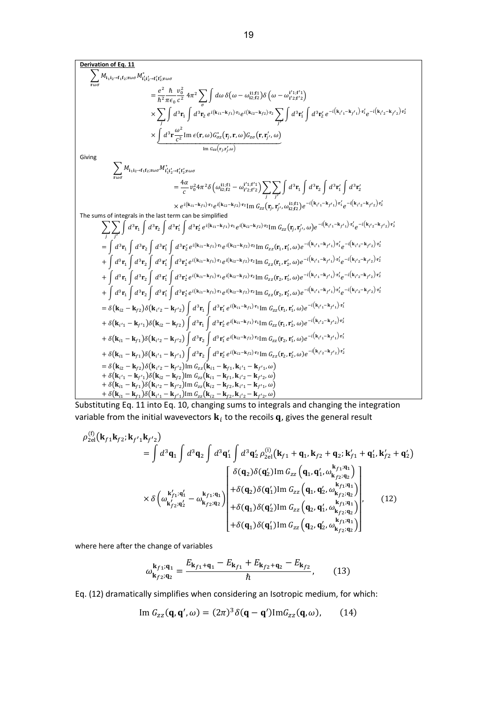$$
\begin{split}\n&\sum_{\text{root}} M_{i_1 i_2 \to f_1 f_2 \text{root}} \frac{1}{2} \int_{\text{root}}^2 M_{i_1 i_2 \to f_1 f_2 \text{root}} \\&= \frac{e^2}{\hbar^2} \frac{\hbar}{\pi c_0} \frac{v_0^2}{c^2} 4\pi^2 \sum_{j} \int d\omega \delta(\omega - \omega_{i2; f_1}^{i_1; f_1}) \left(\omega - \omega_{i2; f_2}^{i_1; f_1} \right) \\&\times \sum_{j} \int d^3 \mathbf{r}_1 \int d^3 \mathbf{r}_2 e^{i(k_{11} - k_{f_1}) \mathbf{r}_1} e^{i(k_{21} - k_{f_2}) \mathbf{r}_2} \int d^3 \mathbf{r}_1' \int d^3 \mathbf{r}_2' e^{-i(k_{f_1} - k_{f_1}) \mathbf{r}_1'} e^{-i(k_{f_1} - k_{f_1}) \mathbf{r}_1'} e^{-i(k_{f_1} - k_{f_1}) \mathbf{r}_1'} e^{-i(k_{f_1} - k_{f_1}) \mathbf{r}_1'} e^{-i(k_{f_1} - k_{f_1}) \mathbf{r}_1'} \right) \\&\times \underbrace{\int d^3 \mathbf{r} \frac{\omega^2}{c^2} \text{Im} \epsilon(\mathbf{r}, \omega) G_{\sigma \sigma}^2(\mathbf{r}, \mathbf{r}, \omega)}_{\text{line } \sigma_{\sigma}(\mathbf{r}, \mathbf{r}_f', \omega)} \\&= \frac{4\alpha}{c} v_0^2 4\pi^2 \delta \left(\omega_{1; f_2}^{i_1; f_1} - \omega_{1; f_2; f_2}^{i_1; f_1} \right) \sum_{j} \int d^3 \mathbf{r}_1 \int d^3 \mathbf{r}_2 \int d^3 \mathbf{r}_1' \int d^3 \mathbf{r}_2' \int d^3 \mathbf{r}_2' \int d^3 \mathbf{r}_2' \int d^3 \mathbf{r}_2' \int d^3 \mathbf{r}_2' \int d^3 \mathbf{r}_2' \int d^3 \mathbf{r}_2' \int d^3 \mathbf{r}_2' \int d^3 \mathbf{r}_2' \int d^3 \mathbf{r}_2' \int d^3 \mathbf{
$$

Substituting Eq. 11 into Eq. 10, changing sums to integrals and changing the integration variable from the initial wavevectors  $\mathbf{k}_i$  to the recoils  $\mathbf{q}$ , gives the general result

$$
\rho_{2el}^{(f)}(\mathbf{k}_{f1}\mathbf{k}_{f2};\mathbf{k}_{f'1}\mathbf{k}_{f'2})
$$
\n
$$
= \int d^{3}\mathbf{q}_{1} \int d^{3}\mathbf{q}_{2} \int d^{3}\mathbf{q}'_{1} \int d^{3}\mathbf{q}'_{2} \rho_{2el}^{(i)}(\mathbf{k}_{f1} + \mathbf{q}_{1},\mathbf{k}_{f2} + \mathbf{q}_{2};\mathbf{k}_{f1}' + \mathbf{q}'_{1},\mathbf{k}_{f2}' + \mathbf{q}'_{2})
$$
\n
$$
\times \delta \left( \omega_{\mathbf{k}_{f2}';\mathbf{q}'_{2}}^{\mathbf{k}_{f1};\mathbf{q}'_{1}} - \omega_{\mathbf{k}_{f2};\mathbf{q}_{2}}^{\mathbf{k}_{f1};\mathbf{q}_{1}} \right) + \delta(\mathbf{q}_{2})\delta(\mathbf{q}'_{1}) \text{Im } G_{zz}(\mathbf{q}_{1},\mathbf{q}'_{1},\omega_{\mathbf{k}_{f2};\mathbf{q}_{2}}^{\mathbf{k}_{f1};\mathbf{q}_{1}})
$$
\n
$$
\times \delta \left( \omega_{\mathbf{k}_{f2}';\mathbf{q}'_{2}}^{\mathbf{k}_{f1};\mathbf{q}'_{1}} - \omega_{\mathbf{k}_{f2};\mathbf{q}_{2}}^{\mathbf{k}_{f1};\mathbf{q}_{1}} \right) + \delta(\mathbf{q}_{2})\delta(\mathbf{q}'_{1}) \text{Im } G_{zz}(\mathbf{q}_{1},\mathbf{q}'_{2},\omega_{\mathbf{k}_{f2};\mathbf{q}_{2}}^{\mathbf{k}_{f1};\mathbf{q}_{1}}), \qquad (12)
$$
\n
$$
+ \delta(\mathbf{q}_{1})\delta(\mathbf{q}'_{1}) \text{Im } G_{zz}(\mathbf{q}_{2},\mathbf{q}'_{1},\omega_{\mathbf{k}_{f2};\mathbf{q}_{2}}^{\mathbf{k}_{f1};\mathbf{q}_{1}}), \qquad (12)
$$

where here after the change of variables

$$
\omega_{\mathbf{k}_{f2};\mathbf{q}_2}^{\mathbf{k}_{f1};\mathbf{q}_1} = \frac{E_{\mathbf{k}_{f1}+\mathbf{q}_1} - E_{\mathbf{k}_{f1}} + E_{\mathbf{k}_{f2}+\mathbf{q}_2} - E_{\mathbf{k}_{f2}}}{\hbar},\qquad(13)
$$

Eq. (12) dramatically simplifies when considering an Isotropic medium, for which:

$$
\operatorname{Im} G_{zz}(\mathbf{q}, \mathbf{q}', \omega) = (2\pi)^3 \delta(\mathbf{q} - \mathbf{q}') \operatorname{Im} G_{zz}(\mathbf{q}, \omega), \qquad (14)
$$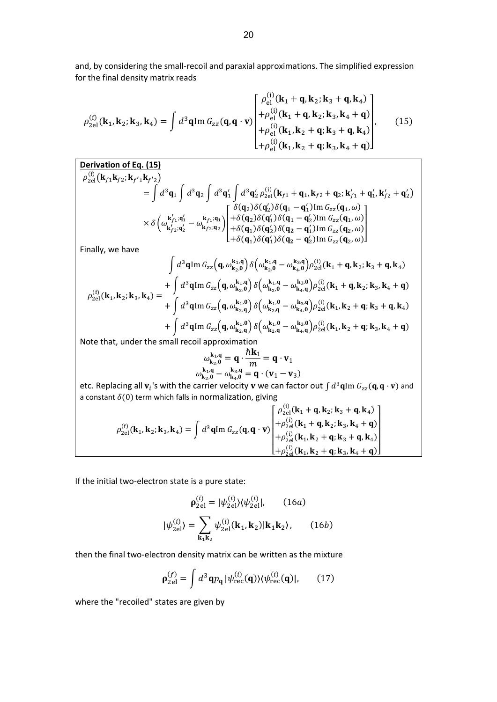and, by considering the small-recoil and paraxial approximations. The simplified expression for the final density matrix reads

$$
\rho_{2el}^{(f)}(\mathbf{k}_{1}, \mathbf{k}_{2}; \mathbf{k}_{3}, \mathbf{k}_{4}) = \int d^{3} \mathbf{q} \text{Im } G_{zz}(\mathbf{q}, \mathbf{q} \cdot \mathbf{v}) \begin{bmatrix} \rho_{el}^{(i)}(\mathbf{k}_{1} + \mathbf{q}, \mathbf{k}_{2}; \mathbf{k}_{3} + \mathbf{q}, \mathbf{k}_{4}) \\ + \rho_{el}^{(i)}(\mathbf{k}_{1} + \mathbf{q}, \mathbf{k}_{2}; \mathbf{k}_{3}, \mathbf{k}_{4} + \mathbf{q}) \\ + \rho_{el}^{(i)}(\mathbf{k}_{1}, \mathbf{k}_{2} + \mathbf{q}; \mathbf{k}_{3} + \mathbf{q}, \mathbf{k}_{4}) \\ + \rho_{el}^{(i)}(\mathbf{k}_{1}, \mathbf{k}_{2} + \mathbf{q}; \mathbf{k}_{3}, \mathbf{k}_{4} + \mathbf{q}) \end{bmatrix}, \quad (15)
$$

**Derivation of Eq. (15)**  
\n
$$
\rho_{2el}^{(f)}(\mathbf{k}_{f1}\mathbf{k}_{f2};\mathbf{k}_{f'1}\mathbf{k}_{f'2})
$$
\n
$$
= \int d^{3}\mathbf{q}_{1} \int d^{3}\mathbf{q}_{2} \int d^{3}\mathbf{q}'_{1} \int d^{3}\mathbf{q}'_{2} \rho_{2el}^{(i)}(\mathbf{k}_{f1} + \mathbf{q}_{1},\mathbf{k}_{f2} + \mathbf{q}_{2};\mathbf{k}_{f1} + \mathbf{q}'_{1},\mathbf{k}_{f2} + \mathbf{q}'_{2})
$$
\n
$$
\times \delta \left( \omega_{\mathbf{k}_{f2}^{k_{f1}}; \mathbf{q}'_{1}}^{\mathbf{k}_{f1}^{k_{f1}}} - \omega_{\mathbf{k}_{f2}^{k_{f1}}; \mathbf{q}_{2}}^{\mathbf{k}_{f1}^{k_{f1}}} \right) + \delta(\mathbf{q}_{2})\delta(\mathbf{q}'_{1})\delta(\mathbf{q}_{1} - \mathbf{q}'_{2}) \text{Im } G_{zz}(\mathbf{q}_{1}, \omega)
$$
\n
$$
\times \delta \left( \omega_{\mathbf{k}_{f2}^{k_{f2}}; \mathbf{q}'_{2}}^{\mathbf{k}_{f1}^{k_{f1}}; \mathbf{q}'_{1}} - \omega_{\mathbf{k}_{f2}^{k_{f2}}; \mathbf{q}_{2}}^{\mathbf{k}_{f1}^{k_{f1}}; \mathbf{q}_{1}} \right) + \delta(\mathbf{q}_{1})\delta(\mathbf{q}'_{2})\delta(\mathbf{q}_{2} - \mathbf{q}'_{1}) \text{Im } G_{zz}(\mathbf{q}_{2}, \omega)
$$
\n
$$
+ \delta(\mathbf{q}_{1})\delta(\mathbf{q}'_{1})\delta(\mathbf{q}'_{2}) - \delta(\mathbf{q}'_{2}) \text{Im } G_{zz}(\mathbf{q}_{2}, \omega)
$$

Finally, we have

$$
\int d^{3} \mathbf{q} \text{Im } G_{zz}(\mathbf{q}, \omega_{\mathbf{k}_{2},0}^{\mathbf{k}_{1},\mathbf{q}}) \delta(\omega_{\mathbf{k}_{2},0}^{\mathbf{k}_{1},\mathbf{q}} - \omega_{\mathbf{k}_{4},0}^{\mathbf{k}_{3},\mathbf{q}}) \rho_{2el}^{(i)}(\mathbf{k}_{1} + \mathbf{q}, \mathbf{k}_{2}; \mathbf{k}_{3} + \mathbf{q}, \mathbf{k}_{4})
$$
\n
$$
\rho_{2el}^{(f)}(\mathbf{k}_{1}, \mathbf{k}_{2}; \mathbf{k}_{3}, \mathbf{k}_{4}) = \frac{+ \int d^{3} \mathbf{q} \text{Im } G_{zz}(\mathbf{q}, \omega_{\mathbf{k}_{2},0}^{\mathbf{k}_{1},\mathbf{q}}) \delta(\omega_{\mathbf{k}_{2},0}^{\mathbf{k}_{1},\mathbf{q}} - \omega_{\mathbf{k}_{4},\mathbf{q}}^{\mathbf{k}_{3},\mathbf{q}}) \rho_{2el}^{(i)}(\mathbf{k}_{1} + \mathbf{q}, \mathbf{k}_{2}; \mathbf{k}_{3}, \mathbf{k}_{4} + \mathbf{q})
$$
\n
$$
+ \int d^{3} \mathbf{q} \text{Im } G_{zz}(\mathbf{q}, \omega_{\mathbf{k}_{2},\mathbf{q}}^{\mathbf{k}_{1},\mathbf{0}}) \delta(\omega_{\mathbf{k}_{2},\mathbf{q}}^{\mathbf{k}_{1},\mathbf{0}} - \omega_{\mathbf{k}_{4},\mathbf{q}}^{\mathbf{k}_{3},\mathbf{q}}) \rho_{2el}^{(i)}(\mathbf{k}_{1}, \mathbf{k}_{2} + \mathbf{q}; \mathbf{k}_{3} + \mathbf{q}, \mathbf{k}_{4})
$$
\n
$$
+ \int d^{3} \mathbf{q} \text{Im } G_{zz}(\mathbf{q}, \omega_{\mathbf{k}_{2},\mathbf{q}}^{\mathbf{k}_{1},\mathbf{0}}) \delta(\omega_{\mathbf{k}_{2},\mathbf{q}}^{\mathbf{k}_{1},\mathbf{0}} - \omega_{\mathbf{k}_{4},\mathbf{q}}^{\mathbf{k}_{3},\mathbf{0}}) \rho_{2el}^{(i)}(\mathbf{k}_{1}, \mathbf{k}_{2} + \mathbf{q}; \mathbf{k}_{3} + \mathbf{q}, \mathbf{k}_{4})
$$

Note that, under the small recoil approximation

$$
\omega_{k_2,0}^{k_1,q} = q \cdot \frac{\hbar k_1}{m} = q \cdot v_1
$$
  

$$
\omega_{k_2,0}^{k_1,q} - \omega_{k_4,0}^{k_3,q} = q \cdot (v_1 - v_3)
$$

etc. Replacing all  $v_i$ 's with the carrier velocity  $v$  we can factor out  $\int d^3\mathbf{q}\text{Im }G_{zz}(\mathbf{q},\mathbf{q}\cdot\mathbf{v})$  and a constant  $\delta(0)$  term which falls in normalization, giving

$$
\rho_{2el}^{(f)}(\mathbf{k}_{1},\mathbf{k}_{2};\mathbf{k}_{3},\mathbf{k}_{4}) = \int d^{3}\mathbf{q} \text{Im } G_{zz}(\mathbf{q},\mathbf{q} \cdot \mathbf{v}) \begin{bmatrix} \rho_{2el}^{(i)}(\mathbf{k}_{1} + \mathbf{q},\mathbf{k}_{2};\mathbf{k}_{3} + \mathbf{q},\mathbf{k}_{4}) \\ +\rho_{2el}^{(i)}(\mathbf{k}_{1} + \mathbf{q},\mathbf{k}_{2};\mathbf{k}_{3},\mathbf{k}_{4} + \mathbf{q}) \\ +\rho_{2el}^{(i)}(\mathbf{k}_{1},\mathbf{k}_{2} + \mathbf{q};\mathbf{k}_{3} + \mathbf{q},\mathbf{k}_{4}) \\ +\rho_{2el}^{(i)}(\mathbf{k}_{1},\mathbf{k}_{2} + \mathbf{q};\mathbf{k}_{3},\mathbf{k}_{4} + \mathbf{q}) \end{bmatrix}
$$

If the initial two-electron state is a pure state:

$$
\rho_{2el}^{(i)} = |\psi_{2el}^{(i)}\rangle\langle\psi_{2el}^{(i)}|, \qquad (16a)
$$

$$
|\psi_{2el}^{(i)}\rangle = \sum_{\mathbf{k}_1 \mathbf{k}_2} \psi_{2el}^{(i)}(\mathbf{k}_1, \mathbf{k}_2) |\mathbf{k}_1 \mathbf{k}_2\rangle, \qquad (16b)
$$

then the final two-electron density matrix can be written as the mixture

$$
\mathbf{\rho}_{2\text{el}}^{(f)} = \int d^3 \mathbf{q} p_{\mathbf{q}} |\psi_{\text{rec}}^{(i)}(\mathbf{q})\rangle \langle \psi_{\text{rec}}^{(i)}(\mathbf{q})|, \qquad (17)
$$

where the "recoiled" states are given by